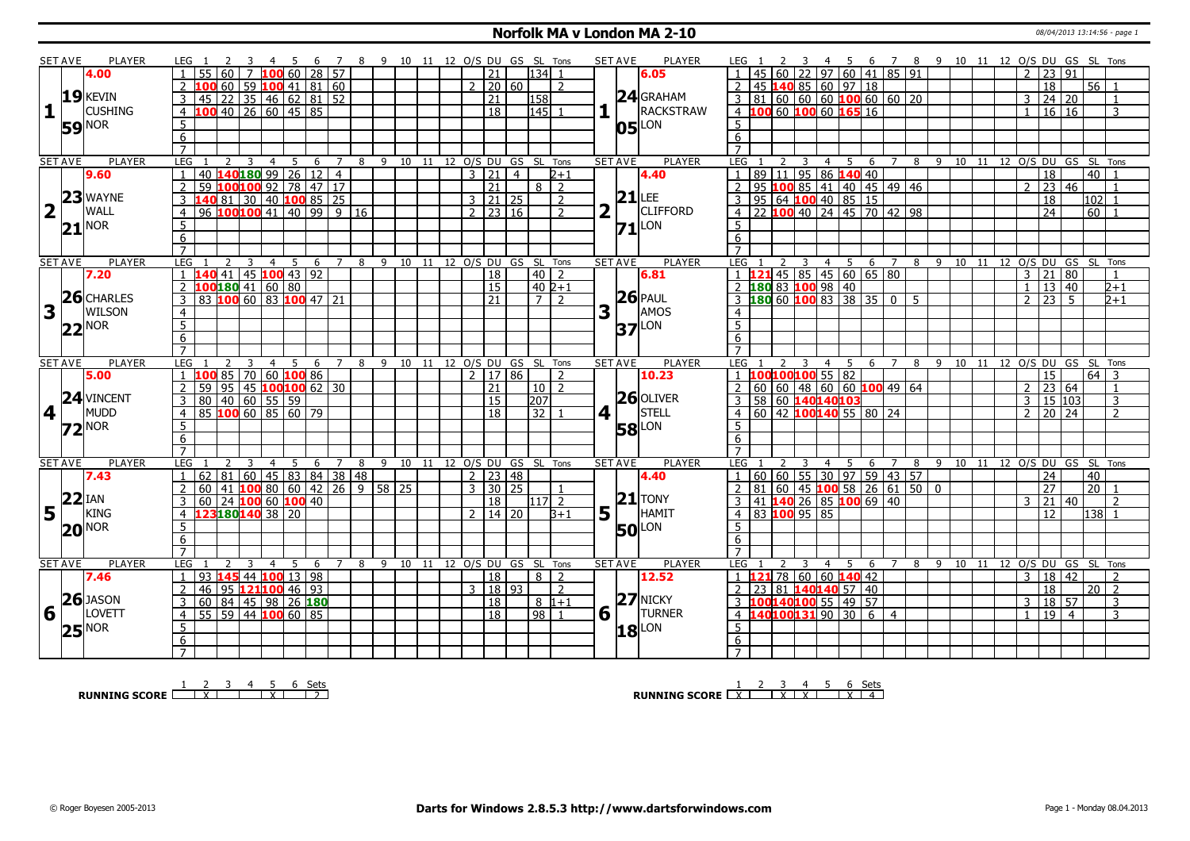### **Norfolk MA v London MA 2-10** 08/04/2013 13:14:56 - page 1

|                         | <b>SET AVE</b> | <b>PLAYER</b>       | LEG 1               |                            |                                              |                     | - 5            | 6  |    | 7 8 9 10 11 12 O/S DU GS SL Tons |   |                                |    |    |                |                     |                |                            |                |                         | <b>SET AVE</b> | <b>PLAYER</b>                           | LEG 1               |                                              |   |                |     |                      |                | 3  4  5  6  7  8  9  10  11  12  O/S  DU  GS  SL  Tons |    |                      |       |       |  |                     |                 |                 |                 |                                  |  |
|-------------------------|----------------|---------------------|---------------------|----------------------------|----------------------------------------------|---------------------|----------------|----|----|----------------------------------|---|--------------------------------|----|----|----------------|---------------------|----------------|----------------------------|----------------|-------------------------|----------------|-----------------------------------------|---------------------|----------------------------------------------|---|----------------|-----|----------------------|----------------|--------------------------------------------------------|----|----------------------|-------|-------|--|---------------------|-----------------|-----------------|-----------------|----------------------------------|--|
|                         |                | 4.00                |                     |                            |                                              | 7 100 60 28 57      |                |    |    |                                  |   |                                |    |    |                | 21                  |                | $134$ 1                    |                |                         |                | 6.05                                    |                     |                                              |   |                |     |                      |                | 22 97 60 41 85 91                                      |    |                      |       |       |  | $\overline{2}$      | 23 91           |                 |                 |                                  |  |
|                         |                |                     |                     |                            | 60   59 <b> 100</b>   41   81   60           |                     |                |    |    |                                  |   |                                |    |    | $\overline{2}$ | 20   60             |                |                            | $\overline{2}$ |                         |                |                                         |                     | 45 140 85 60 97 18                           |   |                |     |                      |                |                                                        |    |                      |       |       |  |                     | 18              |                 | $56$   1        |                                  |  |
|                         |                | $19$ <b>KEVIN</b>   |                     | 45                         | $22 \mid 35 \mid 46 \mid 62 \mid 81 \mid 52$ |                     |                |    |    |                                  |   |                                |    |    |                | 21                  |                | 158                        |                |                         |                | $24$ GRAHAM                             | $\mathbf{3}$        | $ 81 60 60 60$ 100 60 60 20                  |   |                |     |                      |                |                                                        |    |                      |       |       |  | 3                   | 24 20           |                 |                 | $\mathbf{1}$                     |  |
| $\mathbf{1}$            |                | <b>CUSHING</b>      | $\overline{4}$      | $100$ 40 26 60 45 85       |                                              |                     |                |    |    |                                  |   |                                |    |    |                | $\overline{18}$     |                | $\overline{145}$           |                |                         |                | RACKSTRAW                               |                     | 4 100 60 100 60 165 16                       |   |                |     |                      |                |                                                        |    |                      |       |       |  | $\mathbf{1}$        | 16 16           |                 |                 | 3                                |  |
|                         |                |                     |                     |                            |                                              |                     |                |    |    |                                  |   |                                |    |    |                |                     |                |                            |                |                         |                |                                         |                     |                                              |   |                |     |                      |                |                                                        |    |                      |       |       |  |                     |                 |                 |                 |                                  |  |
|                         |                | <b>59 NOR</b>       | 5                   |                            |                                              |                     |                |    |    |                                  |   |                                |    |    |                |                     |                |                            |                |                         | 05             | LON                                     | $5^{\circ}$         |                                              |   |                |     |                      |                |                                                        |    |                      |       |       |  |                     |                 |                 |                 |                                  |  |
|                         |                |                     | 6                   |                            |                                              |                     |                |    |    |                                  |   |                                |    |    |                |                     |                |                            |                |                         |                |                                         | 6                   |                                              |   |                |     |                      |                |                                                        |    |                      |       |       |  |                     |                 |                 |                 |                                  |  |
|                         |                |                     | $\overline{7}$      |                            |                                              |                     |                |    |    |                                  |   |                                |    |    |                |                     |                |                            |                |                         |                |                                         | $\overline{7}$      |                                              |   |                |     |                      |                |                                                        |    |                      |       |       |  |                     |                 |                 |                 |                                  |  |
|                         | <b>SET AVE</b> | <b>PLAYER</b>       | <b>LEG</b>          |                            | 2                                            | 3                   | $\overline{4}$ | 5  | 6  | $\overline{7}$                   |   | 8 9 10 11 12 O/S DU GS SL Tons |    |    |                |                     |                |                            |                |                         | <b>SET AVE</b> | <b>PLAYER</b>                           | LEG                 |                                              | 3 | $\overline{4}$ | - 5 | -6                   |                |                                                        |    |                      |       |       |  |                     |                 |                 |                 | 7 8 9 10 11 12 O/S DU GS SL Tons |  |
|                         |                | 9.60                |                     | 40 140 180 99 26 12 4      |                                              |                     |                |    |    |                                  |   |                                |    |    | $\mathcal{L}$  | $\overline{21}$     | $\overline{4}$ |                            | 2+1            |                         |                | 4.40                                    | $\overline{1}$      | $89$ 11                                      |   |                |     | $195$ 86 140 40      |                |                                                        |    |                      |       |       |  |                     | 18              |                 | 40              |                                  |  |
|                         |                |                     | $\overline{2}$      | 59 100100 92 78 47 17      |                                              |                     |                |    |    |                                  |   |                                |    |    |                | 21                  |                | $8\sqrt{2}$                |                |                         |                |                                         | $\overline{2}$      | 95 100 85 41 40 45 49 46                     |   |                |     |                      |                |                                                        |    |                      |       |       |  | $\overline{2}$      | $\overline{23}$ | $\overline{46}$ |                 |                                  |  |
|                         |                | 23 WAYNE            | 3                   | 40                         | 81 30 40 100 85 25                           |                     |                |    |    |                                  |   |                                |    |    |                | $3 \mid 21 \mid 25$ |                |                            | $\overline{2}$ |                         | $21$ LEE       |                                         |                     | 95   64   100   40   85   15                 |   |                |     |                      |                |                                                        |    |                      |       |       |  |                     | 18              |                 | 102 1           |                                  |  |
| $\overline{\mathbf{2}}$ |                | WALL                | $\overline{4}$      | 96 100 100 41 40 99 9 16   |                                              |                     |                |    |    |                                  |   |                                |    |    |                | $2 \mid 23 \mid 16$ |                |                            | $\overline{z}$ | $\overline{\mathbf{2}}$ |                | <b>CLIFFORD</b>                         | 4                   | 22 100 40 24 45 70 42 98                     |   |                |     |                      |                |                                                        |    |                      |       |       |  |                     | $\overline{24}$ |                 | 60              |                                  |  |
|                         |                | <b>NOR</b>          | 5                   |                            |                                              |                     |                |    |    |                                  |   |                                |    |    |                |                     |                |                            |                |                         |                |                                         | 5                   |                                              |   |                |     |                      |                |                                                        |    |                      |       |       |  |                     |                 |                 |                 |                                  |  |
|                         | 21             |                     | 6                   |                            |                                              |                     |                |    |    |                                  |   |                                |    |    |                |                     |                |                            |                |                         |                | $71$ <sup><math>\text{LON}</math></sup> | 6                   |                                              |   |                |     |                      |                |                                                        |    |                      |       |       |  |                     |                 |                 |                 |                                  |  |
|                         |                |                     | $\overline{7}$      |                            |                                              |                     |                |    |    |                                  |   |                                |    |    |                |                     |                |                            |                |                         |                |                                         |                     |                                              |   |                |     |                      |                |                                                        |    |                      |       |       |  |                     |                 |                 |                 |                                  |  |
|                         | <b>SET AVE</b> | <b>PLAYER</b>       | <b>LEG</b>          |                            |                                              | 3<br>$\overline{4}$ |                | 5  | 6  | 7                                | 8 | 9 10 11 12 O/S DU GS SL Tons   |    |    |                |                     |                |                            |                |                         | <b>SET AVE</b> | <b>PLAYER</b>                           | LEG                 |                                              | 3 |                | 4 5 |                      | 6 <sup>7</sup> |                                                        |    | $8 \quad 9 \quad 10$ |       | 11    |  |                     |                 |                 |                 | 12 O/S DU GS SL Tons             |  |
|                         |                |                     |                     |                            | L40 41   45   100   43   92                  |                     |                |    |    |                                  |   |                                |    |    |                |                     |                |                            |                |                         |                |                                         |                     |                                              |   |                |     | $145$ 85 45 60 65 80 |                |                                                        |    |                      |       |       |  |                     | $\overline{21}$ |                 |                 |                                  |  |
|                         |                | 7.20                |                     |                            |                                              |                     |                |    |    |                                  |   |                                |    |    |                | 18                  |                | $40$   2                   |                |                         |                | 6.81                                    |                     |                                              |   |                |     |                      |                |                                                        |    |                      |       |       |  | 3                   |                 | 80              |                 |                                  |  |
|                         |                | $26$ CHARLES        | $\overline{2}$      |                            | LOO 180 41 60 80                             |                     |                |    |    |                                  |   |                                |    |    |                | $\overline{15}$     |                | $402+1$                    |                |                         |                |                                         |                     |                                              |   |                |     |                      |                |                                                        |    |                      |       |       |  | $\mathbf{1}$        | 13 40           |                 |                 | $2+1$                            |  |
|                         |                |                     | 3                   | 83 100 60 83 100 47 21     |                                              |                     |                |    |    |                                  |   |                                |    |    |                | 21                  |                | 7   2                      |                |                         |                | $ 26 $ PAUL                             |                     |                                              |   |                |     |                      |                |                                                        |    |                      |       |       |  | $\overline{2}$      | $23 \mid 5$     |                 |                 | $2+1$                            |  |
| 3                       |                | WILSON              | $\overline{4}$      |                            |                                              |                     |                |    |    |                                  |   |                                |    |    |                |                     |                |                            |                | 3                       |                | AMOS                                    | $\overline{4}$      |                                              |   |                |     |                      |                |                                                        |    |                      |       |       |  |                     |                 |                 |                 |                                  |  |
|                         |                | $22^{\text{NOR}}$   | $\overline{5}$      |                            |                                              |                     |                |    |    |                                  |   |                                |    |    |                |                     |                |                            |                |                         |                | $37$ <sup>LON</sup>                     | $\overline{5}$      |                                              |   |                |     |                      |                |                                                        |    |                      |       |       |  |                     |                 |                 |                 |                                  |  |
|                         |                |                     | $\overline{6}$      |                            |                                              |                     |                |    |    |                                  |   |                                |    |    |                |                     |                |                            |                |                         |                |                                         | 6                   |                                              |   |                |     |                      |                |                                                        |    |                      |       |       |  |                     |                 |                 |                 |                                  |  |
|                         |                |                     | $\overline{7}$      |                            |                                              |                     |                |    |    |                                  |   |                                |    |    |                |                     |                |                            |                |                         |                |                                         | $\overline{7}$      |                                              |   |                |     |                      |                |                                                        |    |                      |       |       |  |                     |                 |                 |                 |                                  |  |
|                         | <b>SET AVE</b> | <b>PLAYER</b>       | LEG                 |                            |                                              | 4                   |                | -5 | 6  | $\overline{7}$                   |   | 8 9 10 11 12 O/S DU GS SL Tons |    |    |                |                     |                |                            |                |                         | <b>SET AVE</b> | <b>PLAYER</b>                           | LEG                 |                                              |   | 4              | - 5 | 6                    | $\overline{7}$ |                                                        | 89 |                      | 10 11 |       |  |                     |                 |                 |                 | 12 O/S DU GS SL Tons             |  |
|                         |                |                     |                     |                            |                                              |                     |                |    |    |                                  |   |                                |    |    |                |                     |                |                            |                |                         |                |                                         |                     | 100100100 55 82                              |   |                |     |                      |                |                                                        |    |                      |       |       |  |                     |                 |                 |                 |                                  |  |
|                         |                | 5.00                |                     |                            | 85   70   60   <mark>100</mark>   86         |                     |                |    |    |                                  |   |                                |    |    | $\overline{2}$ | 17 86               |                |                            | $\overline{2}$ |                         |                | 10.23                                   |                     |                                              |   |                |     |                      |                |                                                        |    |                      |       |       |  |                     | 15              |                 | $64 \mid 3$     |                                  |  |
|                         |                |                     | $\overline{2}$      | 59                         |                                              |                     |                |    |    |                                  |   |                                |    |    |                | 21                  |                | $10$   2                   |                |                         |                |                                         |                     | $60   60   48   60   60$ 100 49 64           |   |                |     |                      |                |                                                        |    |                      |       |       |  | 2                   | 23 64           |                 |                 | -1                               |  |
|                         |                | 24 VINCENT          | 3                   |                            | 95   45 <mark>100</mark> 100 62   30         |                     |                |    |    |                                  |   |                                |    |    |                |                     |                |                            |                |                         |                | $26$ OLIVER                             |                     |                                              |   |                |     |                      |                |                                                        |    |                      |       |       |  |                     |                 |                 |                 |                                  |  |
|                         |                |                     | $\overline{4}$      | 80                         | $140$ 60 55 59                               |                     |                |    |    |                                  |   |                                |    |    |                | 15<br>18            |                | 207                        |                |                         |                |                                         |                     | 58 60 140140103                              |   |                |     |                      |                |                                                        |    |                      |       |       |  | 3<br>$\overline{2}$ | 15 103          |                 |                 | 3<br>$\overline{2}$              |  |
| 4                       |                | <b>MUDD</b>         |                     | 85 100 60 85 60 79         |                                              |                     |                |    |    |                                  |   |                                |    |    |                |                     |                | 32 1                       |                | 4 1                     |                | STELL                                   | $\overline{4}$      | 60   42 100140 55   80   24                  |   |                |     |                      |                |                                                        |    |                      |       |       |  |                     | 20 24           |                 |                 |                                  |  |
|                         |                | $72^{\text{NOR}}$   | 5                   |                            |                                              |                     |                |    |    |                                  |   |                                |    |    |                |                     |                |                            |                |                         |                | <b>58</b> LON                           | 5                   |                                              |   |                |     |                      |                |                                                        |    |                      |       |       |  |                     |                 |                 |                 |                                  |  |
|                         |                |                     | $6\overline{6}$     |                            |                                              |                     |                |    |    |                                  |   |                                |    |    |                |                     |                |                            |                |                         |                |                                         | 6                   |                                              |   |                |     |                      |                |                                                        |    |                      |       |       |  |                     |                 |                 |                 |                                  |  |
|                         |                |                     | $\overline{7}$      |                            |                                              |                     |                |    |    |                                  |   |                                |    |    |                |                     |                |                            |                |                         |                |                                         | $\overline{7}$      |                                              |   |                |     |                      |                |                                                        |    |                      |       |       |  |                     |                 |                 |                 |                                  |  |
|                         | <b>SET AVE</b> | <b>PLAYER</b>       | LEG                 |                            |                                              | $\overline{4}$      |                |    | 6  | 7                                | 8 | $\mathsf{q}$                   |    |    |                |                     |                | 10 11 12 O/S DU GS SL Tons |                |                         | <b>SET AVE</b> | <b>PLAYER</b>                           | <b>LEG</b>          |                                              |   | 4              |     | 6                    |                |                                                        | 89 |                      |       |       |  |                     |                 |                 |                 | 10 11 12 O/S DU GS SL Tons       |  |
|                         |                | 7.43                | 1                   | 62                         | 81 60 45 83 84 38 48                         |                     |                |    |    |                                  |   |                                |    |    |                | $2$   23   48       |                |                            |                |                         |                | 4.40                                    | $\overline{1}$      | 60   60   55   30   97   59   43   57        |   |                |     |                      |                |                                                        |    |                      |       |       |  |                     | $\overline{24}$ |                 | 40              |                                  |  |
|                         |                |                     | 2                   | 60                         | $41$ 100 80 60 42 26 9 58 25                 |                     |                |    |    |                                  |   |                                |    |    |                | $3 \mid 30 \mid 25$ |                |                            | $\overline{1}$ |                         |                |                                         | $\overline{2}$      | $81   60   45   100   58   26   61   50   0$ |   |                |     |                      |                |                                                        |    |                      |       |       |  |                     | 27              |                 | $\overline{20}$ |                                  |  |
|                         | $22$ IAN       |                     | 3                   | 60                         | 24 100 60 100 40                             |                     |                |    |    |                                  |   |                                |    |    |                | $\overline{18}$     |                | 117  2                     |                |                         |                | $21$ TONY                               |                     | 41 140 26 85 100 69 40                       |   |                |     |                      |                |                                                        |    |                      |       |       |  | 3                   | $\overline{21}$ | 40              |                 | $\overline{2}$                   |  |
| 5                       |                | <b>KING</b>         | $\overline{4}$      |                            | 2318014038 20                                |                     |                |    |    |                                  |   |                                |    |    | $\overline{2}$ | 14   20             |                |                            | $B+1$          | 5 <sub>1</sub>          |                | HAMIT                                   | $\overline{4}$      | 83 100 95 85                                 |   |                |     |                      |                |                                                        |    |                      |       |       |  |                     | 12              |                 | $138$   1       |                                  |  |
|                         |                |                     | 5                   |                            |                                              |                     |                |    |    |                                  |   |                                |    |    |                |                     |                |                            |                |                         |                |                                         | 5                   |                                              |   |                |     |                      |                |                                                        |    |                      |       |       |  |                     |                 |                 |                 |                                  |  |
|                         |                | $20^{NOR}$          | 6                   |                            |                                              |                     |                |    |    |                                  |   |                                |    |    |                |                     |                |                            |                |                         | <b>50</b> LON  |                                         | 6                   |                                              |   |                |     |                      |                |                                                        |    |                      |       |       |  |                     |                 |                 |                 |                                  |  |
|                         |                |                     | $\overline{7}$      |                            |                                              |                     |                |    |    |                                  |   |                                |    |    |                |                     |                |                            |                |                         |                |                                         | $\overline{7}$      |                                              |   |                |     |                      |                |                                                        |    |                      |       |       |  |                     |                 |                 |                 |                                  |  |
|                         | <b>SET AVE</b> | <b>PLAYER</b>       | LEG                 |                            |                                              | $\overline{4}$      |                | .5 | -6 | $\overline{7}$                   | 8 | 9                              | 10 | 11 |                |                     |                | 12 O/S DU GS SL Tons       |                |                         | <b>SET AVE</b> | <b>PLAYER</b>                           | LEG                 |                                              | 3 | $\overline{4}$ |     | .5.<br>-6            |                |                                                        | 8  | 9 10                 |       | $-11$ |  |                     |                 |                 |                 | 12 O/S DU GS SL Tons             |  |
|                         |                | 7.46                | $\overline{1}$      | 93 <b>145 44 100</b> 13 98 |                                              |                     |                |    |    |                                  |   |                                |    |    |                | 18                  |                | 8   2                      |                |                         |                | 12.52                                   | $\blacksquare$      |                                              |   |                |     | 78 60 60 140 42      |                |                                                        |    |                      |       |       |  | $\mathbf{3}$        | 18   42         |                 |                 | $\overline{2}$                   |  |
|                         |                |                     | 2                   | 46                         | 95 21100 46 93                               |                     |                |    |    |                                  |   |                                |    |    | $\mathbf{3}$   | 18   93             |                |                            | $\overline{2}$ |                         |                |                                         | 2                   | 23                                           |   |                |     |                      |                |                                                        |    |                      |       |       |  |                     | 18              |                 | 20              | l 2                              |  |
|                         |                |                     |                     |                            |                                              |                     |                |    |    |                                  |   |                                |    |    |                |                     |                |                            |                |                         |                | $27$ NICKY                              | 3                   |                                              |   |                |     | 81 140140 57 40      |                |                                                        |    |                      |       |       |  |                     |                 |                 |                 |                                  |  |
|                         |                | $26$ JASON          | 3                   | 60                         | 84 45 98 26 180                              |                     |                |    |    |                                  |   |                                |    |    |                | 18                  |                |                            | $8 1+1$        |                         |                |                                         |                     | $100140100$ 55 49 57                         |   |                |     |                      |                |                                                        |    |                      |       |       |  | 3                   | 18 57           |                 |                 | 3                                |  |
| 6                       |                | LOVETT              | $\overline{4}$      | 55l                        | 59   44   <mark>100</mark> 60   85           |                     |                |    |    |                                  |   |                                |    |    |                | 18                  |                | 98 1                       |                | 6                       |                | <b>TURNER</b>                           | $\overline{4}$      |                                              |   |                |     | $-40100131903064$    |                |                                                        |    |                      |       |       |  | $\mathbf{1}$        | $\overline{19}$ | $\overline{4}$  |                 | 3                                |  |
|                         |                | $25$ <sup>NOR</sup> | 5                   |                            |                                              |                     |                |    |    |                                  |   |                                |    |    |                |                     |                |                            |                |                         | 18             | LON                                     | 5                   |                                              |   |                |     |                      |                |                                                        |    |                      |       |       |  |                     |                 |                 |                 |                                  |  |
|                         |                |                     | 6<br>$\overline{7}$ |                            |                                              |                     |                |    |    |                                  |   |                                |    |    |                |                     |                |                            |                |                         |                |                                         | 6<br>$\overline{7}$ |                                              |   |                |     |                      |                |                                                        |    |                      |       |       |  |                     |                 |                 |                 |                                  |  |

**RUNNING SCORE**  $\begin{array}{|c|c|c|c|c|}\n\hline\n & 2 & 3 & 4 & 5 & 6 & \text{Sets} \\
\hline\n\end{array}$ 

**RUNNING SCORE**  $\begin{array}{|c|c|c|c|c|}\n\hline\n & 1 & 2 & 3 & 4 & 5 & 6 & \text{Sets} \\
\hline\n\end{array}$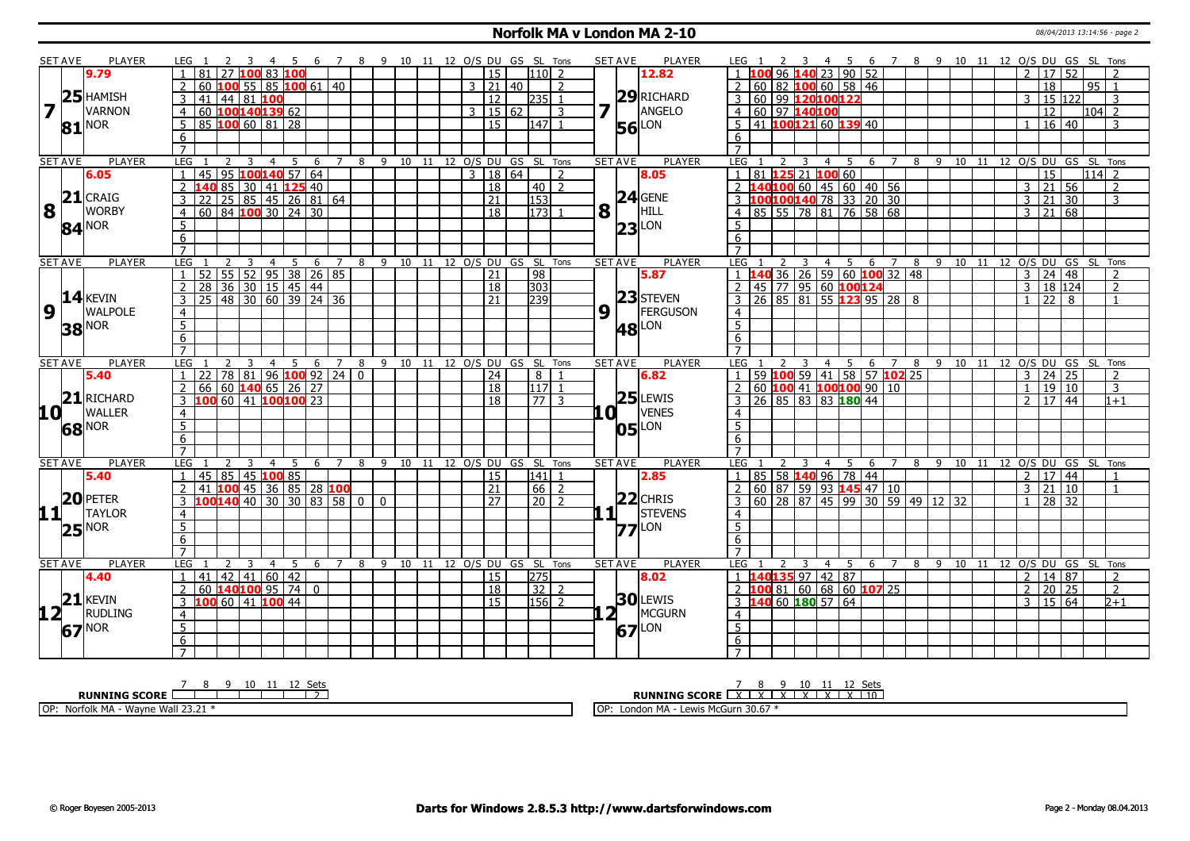#### **Norfolk MA v London MA 2-10** 08/04/2013 13:14:56 - page 2

|                         | <b>SET AVE</b> | <b>PLAYER</b>       | LEG <sub>1</sub><br>$-4$                                  | 5 6 7 8 9 10 11 12 O/S DU GS SL Tons |          |  |                                |       |                  | <b>SET AVE</b> | <b>PLAYER</b>   | 4 5 6 7 8 9 10 11 12 O/S DU GS SL Tons<br>LEG 1                                          |
|-------------------------|----------------|---------------------|-----------------------------------------------------------|--------------------------------------|----------|--|--------------------------------|-------|------------------|----------------|-----------------|------------------------------------------------------------------------------------------|
|                         |                | 9.79                | 81<br>27 100 83 100                                       |                                      |          |  | <sup>15</sup>                  |       | $110$ 2          |                | 12.82           | 1 100 96 140 23 90 52<br>2 17 52                                                         |
|                         |                |                     | <sup>2</sup><br>60<br>100 55 85 100 61 40                 |                                      |          |  | $3 \mid 21 \mid 40$            |       | $\overline{2}$   |                |                 | 2 60 82 <b>100</b> 60 58 46<br>18<br>95 1                                                |
|                         |                | $25$ HAMISH         | 41<br>  44   81   <mark>100</mark>                        |                                      |          |  | 12                             |       | $ 235 $ 1        |                | 29RICHARD       | 3 60 99 120100122<br>15 122<br>$\mathcal{R}$<br>3                                        |
| $\overline{\mathbf{z}}$ |                | <b>VARNON</b>       | 60 100140139 62<br>$\overline{4}$                         |                                      |          |  | 3                              | 15 62 | 3                |                | ANGELO          | 4 60 97 140100<br>12<br>l104l 2                                                          |
|                         | 81             | <b>NOR</b>          | 5<br>$85$ 100 60 $81$ 28                                  |                                      |          |  | $\overline{15}$                |       | $\overline{147}$ |                | LON<br>56       | $5 \mid 41$ 100121 60 139 40<br>$16 \mid 40$<br>3                                        |
|                         |                |                     | 6                                                         |                                      |          |  |                                |       |                  |                |                 | 6                                                                                        |
|                         |                |                     | $\overline{7}$                                            |                                      |          |  |                                |       |                  |                |                 | $\overline{7}$                                                                           |
|                         | <b>SET AVE</b> | <b>PLAYER</b>       | LEG<br>3<br>4                                             | 5<br>6<br>7                          |          |  | 8 9 10 11 12 O/S DU GS SL Tons |       |                  | <b>SET AVE</b> | PLAYER          | LEG<br>8 9 10 11 12 0/S DU GS SL Tons<br>2<br>3<br>$4 \square$<br>- 5<br>6 7             |
|                         |                | 6.05                | 95<br>$100140$ 57 64<br>45                                |                                      |          |  | $\mathcal{E}$                  | 18 64 | $\overline{2}$   |                | 8.05            | 81 125 21 100 60<br>15<br>$114$ 2<br>$\overline{\mathbf{1}}$                             |
|                         |                |                     | 85 30 41 <b>125</b> 40<br>$\overline{2}$                  |                                      |          |  | <b>18</b>                      |       | 40 2             |                |                 | 2 <b>140100</b> 60 45 60 40 56<br>$\sqrt{21}$ 56<br>$\overline{3}$<br>$\mathcal{L}$      |
|                         |                | $21$ CRAIG          | $25 \ 85 \ 45 \ 26 \ 81 \ 64$<br>$\overline{3}$<br>22     |                                      |          |  | $\overline{21}$                |       | 153              |                | $24$ GENE       | 3 100 100 140 78 33 20 30<br>3<br>  21  <br>30<br>3                                      |
| 8                       |                | <b>WORBY</b>        | $\overline{60}$ 84 <b>100</b> 30 24 30<br>$\overline{4}$  |                                      |          |  | $\overline{18}$                |       | $\boxed{173}$ 1  | 8              | HILL            | 4 85 55 78 81 76 58 68<br>$3 \mid 21 \mid 68$                                            |
|                         |                | $84^{NOR}$          | 5                                                         |                                      |          |  |                                |       |                  |                | $23$ LON        | .5.                                                                                      |
|                         |                |                     | 6                                                         |                                      |          |  |                                |       |                  |                |                 | 6                                                                                        |
|                         |                |                     | $\overline{7}$                                            |                                      |          |  |                                |       |                  |                |                 | $\overline{7}$                                                                           |
|                         | <b>SET AVE</b> | <b>PLAYER</b>       | LEG<br>3<br>$\overline{4}$                                | -5<br>6<br>$\overline{7}$            |          |  | 8 9 10 11 12 O/S DU GS SL Tons |       |                  | <b>SET AVE</b> | PLAYER          | LEG<br>4 5 6 7<br>8 9 10 11 12 O/S DU GS SL Tons<br>2<br>$\overline{\mathbf{3}}$         |
|                         |                |                     | $55$ 52 95 38 26 85<br>52                                 |                                      |          |  | $\overline{21}$                |       | $\sqrt{98}$      |                | 5.87            | 1 140 36 26 59 60 100 32 48<br>$3 \mid 24 \mid 48$<br>$\overline{2}$                     |
|                         |                |                     | $36$ 30 15 45 44<br>$\overline{z}$<br>28                  |                                      |          |  | $ 18\rangle$                   |       | $\overline{303}$ |                |                 | 2 45 77 95 60 100124<br>3   18   124<br><sup>2</sup>                                     |
|                         |                | $14$ <b>KEVIN</b>   | 48 30 60 39 24 36<br>$\overline{3}$<br>$\overline{25}$    |                                      |          |  | $ 21\rangle$                   |       | 239              |                | 23 STEVEN       | $3$ 26 85 81 55 123 95 28 8<br>$\boxed{22}$<br>$\mathbf{1}$<br>$\overline{1}$            |
| 9                       |                | <b>WALPOLE</b>      | $\overline{4}$                                            |                                      |          |  |                                |       |                  | 9              | FERGUSON        | $\overline{4}$                                                                           |
|                         |                | <b>38 NOR</b>       | $\overline{5}$                                            |                                      |          |  |                                |       |                  |                | <b>48</b> LON   | $\overline{5}$                                                                           |
|                         |                |                     | 6                                                         |                                      |          |  |                                |       |                  |                |                 | 6                                                                                        |
|                         |                |                     | $\overline{7}$                                            |                                      |          |  |                                |       |                  |                |                 | $\overline{7}$                                                                           |
|                         | <b>SET AVE</b> | <b>PLAYER</b>       | LEG<br>$\overline{4}$                                     | 5<br>6<br>$\overline{7}$             | 8        |  | 9 10 11 12 O/S DU GS SL Tons   |       |                  | <b>SET AVE</b> | <b>PLAYER</b>   | 4 5 6 7 8 9 10 11 12 O/S DU GS SL Tons<br>LEG<br>$\overline{3}$                          |
|                         |                | 5.40                | $78 81 96$ 100 92 24 0<br>22                              |                                      |          |  | 24                             |       | 8                |                | 6.82            | 59 100 59 41 58 57 102 25<br>$\boxed{24}$<br>3<br>$\overline{1}$<br>2                    |
|                         |                |                     | 60 <b>140</b> 65 26 27<br>66<br><sup>2</sup>              |                                      |          |  | <sup>18</sup>                  |       | $117$ 1          |                |                 | $2   60   100   41   100   100   90   10$<br>19 10<br>$\overline{3}$<br>$\mathbf{1}$     |
|                         | $\mathbf{21}$  | <b>RICHARD</b>      | 3 100 60 41 100 100 23                                    |                                      |          |  | 18                             |       | $\frac{77}{3}$   |                | $25$ LEWIS      | $\overline{3}$ 26 85 83 83 180 44<br>$\overline{2}$   17   44  <br>$1 + 1$               |
| 10 L                    |                | <b>WALLER</b>       | $\overline{4}$                                            |                                      |          |  |                                |       |                  | 0 I            | <b>VENES</b>    | $\overline{4}$                                                                           |
|                         |                | 68 NOR              | $\overline{5}$                                            |                                      |          |  |                                |       |                  |                | LON<br>05       | 5 <sup>5</sup>                                                                           |
|                         |                |                     | 6                                                         |                                      |          |  |                                |       |                  |                |                 | 6                                                                                        |
|                         |                |                     | $\overline{7}$                                            |                                      |          |  |                                |       |                  |                |                 | $\overline{7}$                                                                           |
|                         | <b>SET AVE</b> | <b>PLAYER</b>       | LEG<br>4<br>3                                             | 5<br>- 6<br>$\overline{7}$           | 8        |  | 9 10 11 12 O/S DU GS SL Tons   |       |                  | <b>SET AVE</b> | <b>PLAYER</b>   | LEG<br>6 7 8 9 10 11 12 O/S DU GS SL Tons<br>3<br>4 5                                    |
|                         |                | 5.40                | 45 85 45 100 85<br>$\overline{1}$                         |                                      |          |  | l 15                           |       | 141  1           |                | 2.85            | 1 85 58 140 96 78 44<br>2   17   44<br>$\overline{1}$                                    |
|                         |                |                     | 41 100 45 36 85 28 100<br>$\overline{2}$                  |                                      |          |  | 21                             |       | $66$   2         |                |                 | 2 60 87 59 93 145 47 10<br>3   21   10<br>$\mathbf{1}$                                   |
|                         |                | $20$ PETER          | LOO <mark>140</mark> 40 30 30 83 58 0 1<br>$\overline{3}$ |                                      | $\Omega$ |  | 27                             |       | $\sqrt{20}$ 2    |                | $22$ CHRIS      | $3   60   28   87   45   99   30   59   49   12   32$<br>$1 \ 28 \ 32$                   |
| 11+                     |                | <b>TAYLOR</b>       | $\overline{4}$                                            |                                      |          |  |                                |       |                  | . 1 I          | <b>STEVENS</b>  | $\overline{4}$                                                                           |
|                         |                | $25^{\text{NOR}}$   | $\overline{5}$                                            |                                      |          |  |                                |       |                  |                | LON<br>77       | $\overline{5}$                                                                           |
|                         |                |                     | 6                                                         |                                      |          |  |                                |       |                  |                |                 | 6                                                                                        |
|                         |                |                     | $\overline{7}$                                            |                                      |          |  |                                |       |                  |                |                 | $\overline{7}$                                                                           |
|                         | <b>SET AVE</b> | <b>PLAYER</b>       | LEG                                                       | 5.<br>6                              | 8        |  | 9 10 11 12 O/S DU GS SL Tons   |       |                  | <b>SET AVE</b> | <b>PLAYER</b>   | <b>LEG</b><br>10 11 12 O/S DU GS SL Tons<br>8<br>-9<br>4<br>5<br>6                       |
|                         |                | 4.40                | $42$   41   60   42<br>41<br>$\overline{1}$               |                                      |          |  | 15                             |       | 275              |                | 8.02            | $1 \overline{\textbf{140135}}$ 97 42 87<br>$\overline{2}$<br>  14   87<br>$\overline{2}$ |
|                         |                |                     | $60$ 140 100 95 74 0<br>$\overline{2}$                    |                                      |          |  | <sup>18</sup>                  |       | $32$   2         |                |                 | 2 <b>100</b> 81 60 68 60 <b>107</b> 25<br>20 25<br>$\overline{2}$<br>2                   |
|                         |                | $21$ <b>KEVIN</b>   | 100 60 41 100 44<br>3                                     |                                      |          |  | 15                             |       | $156$ 2          |                | <b>30</b> LEWIS | 3 140 60 180 57 64<br>$\sqrt{15}$ 64<br>3<br>$2 + 1$                                     |
| 12 <sub>1</sub>         |                | <b>RUDLING</b>      | $\overline{4}$                                            |                                      |          |  |                                |       |                  | 2 <sub>1</sub> | MCGURN          | $\overline{4}$                                                                           |
|                         |                | $67$ <sup>NOR</sup> | $\overline{5}$                                            |                                      |          |  |                                |       |                  |                | LON<br>67       | $\overline{5}$                                                                           |
|                         |                |                     | 6                                                         |                                      |          |  |                                |       |                  |                |                 | 6                                                                                        |
|                         |                |                     | $\overline{7}$                                            |                                      |          |  |                                |       |                  |                |                 | $\overline{7}$                                                                           |

**RUNNING SCORE** OP: Norfolk MA - Wayne Wall 23.21 \*

<u>7 8 9 10 11 12 Sets</u><br>**RUNNING SCORE** EX EX EX EX EX EX EX E10

OP: London MA - Lewis McGurn 30.67 \*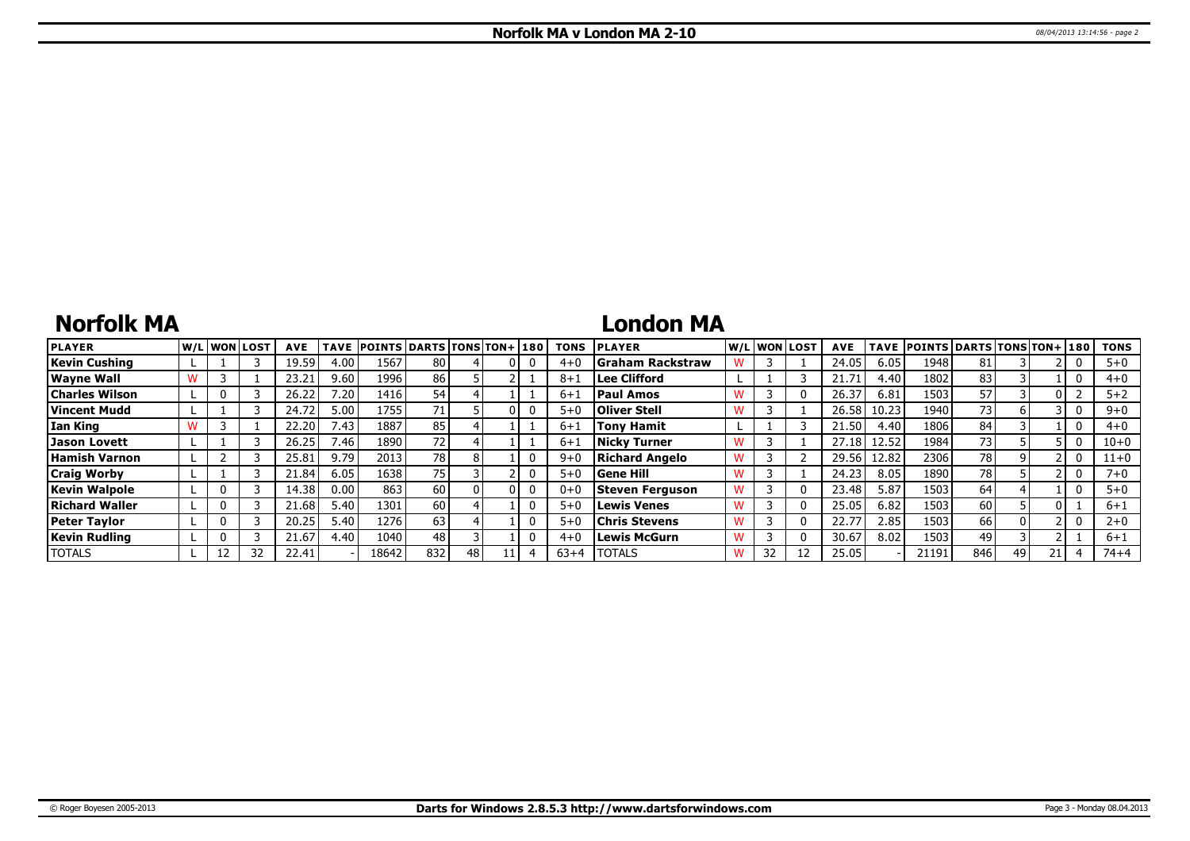# **Norfolk MA**

## **London MA**

| <b>PLAYER</b>         | lw/Llwonllost |    | <b>AVE</b> | <b>TAVE</b> | <b>POINTS DARTS TONS TON+180</b> |                 |    |  | <b>TONS</b> | <b>PLAYER</b>           |   |    | W/Liwonilost! | <b>AVE</b> |       | TAVE POINTS DARTS TONS TON+ 180 |                 |    |    | <b>TONS</b> |
|-----------------------|---------------|----|------------|-------------|----------------------------------|-----------------|----|--|-------------|-------------------------|---|----|---------------|------------|-------|---------------------------------|-----------------|----|----|-------------|
| Kevin Cushing         |               |    | 19.59      | 4.00        | 1567                             | 80              |    |  | $4 + 0$     | <b>Graham Rackstraw</b> |   |    |               | 24.05      | 6.05  | 1948                            | 81              |    |    | $5 + 0$     |
| Wayne Wall            |               |    | 23.21      | 9.60        | 1996                             | 86 I            |    |  | 8+          | Lee Clifford            |   |    |               | 21.7       | 4.40  | 1802                            | 83              |    |    | $4 + 0$     |
| <b>Charles Wilson</b> |               |    | 26.22      | 7.20        | 1416                             | 54 <sub>l</sub> |    |  | $6 + 1$     | <b>Paul Amos</b>        | w |    |               | 26.37      | 6.81  | 1503                            | 57              |    |    | $5 + 2$     |
| Vincent Mudd          |               |    | 24.72      | 5.00        | 1755                             | 71.             |    |  | $5 + C$     | <b>Oliver Stell</b>     |   |    |               | 26.58      | 10.23 | 1940                            | 73              |    |    | $9 + 0$     |
| Ian King              |               |    | 22.20      | 7.43        | 1887                             | 85              |    |  | $6 + 1$     | <b>Tony Hamit</b>       |   |    |               | 21.50      | 4.40  | 1806                            | 84              |    |    | $4 + 0$     |
| Jason Lovett          |               |    | 26.25      | 7.46        | 1890                             | 721             |    |  | $6+1$       | <b>Nicky Turner</b>     | W |    |               | 27.18      | 12.52 | 1984                            | 73 <sub>1</sub> |    |    | $10 + 0$    |
| Hamish Varnon         |               |    | 25.81      | 9.79        | 2013                             | 78 l            |    |  | $9 + 6$     | Richard Angelo          | w |    |               | 29.56      | 12.82 | 2306                            | 78              |    |    | $11+0$      |
| <b>Craig Worby</b>    |               |    | 21.84      | 6.05        | 1638                             | 75 l            |    |  | $5+0$       | <b>Gene Hill</b>        |   |    |               | 24.23      | 8.05  | 1890                            | 78              |    |    | $7 + 0$     |
| <b>Kevin Walpole</b>  |               |    | 14.38      | 0.00        | 863                              | 60 l            |    |  | $0 + C$     | Steven Ferguson         | w |    |               | 23.48      | 5.87  | 1503                            | 64              |    |    | $5 + 0$     |
| <b>Richard Waller</b> |               |    | 21.68      | 5.40        | 1301                             | 60 l            |    |  | $5 + 0$     | <b>Lewis Venes</b>      | w |    |               | 25.05      | 6.82  | 1503                            | 60              |    |    | $6 + 1$     |
| <b>Peter Taylor</b>   |               |    | 20.25      | 5.40        | 1276                             | 63              |    |  | $5 + 0$     | <b>Chris Stevens</b>    | W |    |               | 22.77      | 2.85  | 1503                            | 66              |    |    | $2 + 0$     |
| <b>Kevin Rudling</b>  |               |    | 21.67      | 4.40        | 1040                             | 48              |    |  | $4 + 0$     | <b>Lewis McGurn</b>     | w |    |               | 30.67      | 8.02  | 1503                            | 49              |    |    | $6 + 1$     |
| <b>TOTALS</b>         |               | 32 | 22.41      |             | 18642                            | 832             | 48 |  | $63+4$      | <b>TOTALS</b>           | w | 32 |               | 25.05      |       | 21191                           | 846             | 49 | 21 | 74+4        |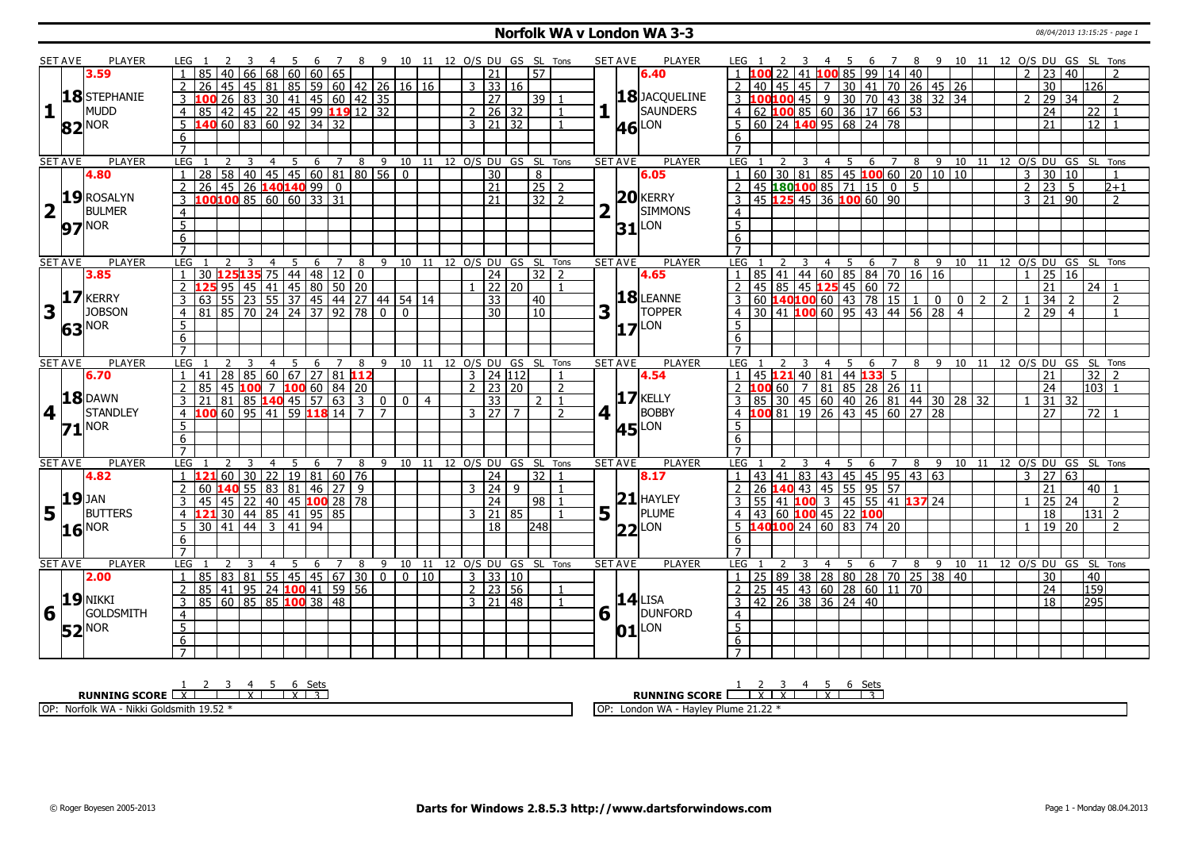### **Norfolk WA v London WA 3-3 13:15:25** - page 1

|                         | <b>SET AVE</b> | PLAYER              | LEG 1                                              | $\overline{7}$                                                    | 89                               |                | 10 11 12 O/S DU GS SL Tons   |                      |                                  |                 |                |                        | SET AVE<br><b>PLAYER</b> | LEG 1                                                                 | - 5                                              | 6 7 8 9 10 11 12 O/S DU GS SL Tons |                                |                |                |                                |                   |                                |                |
|-------------------------|----------------|---------------------|----------------------------------------------------|-------------------------------------------------------------------|----------------------------------|----------------|------------------------------|----------------------|----------------------------------|-----------------|----------------|------------------------|--------------------------|-----------------------------------------------------------------------|--------------------------------------------------|------------------------------------|--------------------------------|----------------|----------------|--------------------------------|-------------------|--------------------------------|----------------|
|                         |                | 3.59                | 85<br>40<br>66                                     | 68   60   60   65                                                 |                                  |                |                              |                      | 21                               | l 57            |                |                        | 6.40                     | 41                                                                    | $10085$ 99 14 40                                 |                                    |                                |                |                | $\mathcal{P}$                  | 23 40             |                                |                |
|                         |                |                     | 45<br>$2^{\circ}$<br>26                            | 45   81   85   59   60   42   26   16   16                        |                                  |                |                              |                      | 3   33   16                      |                 |                |                        |                          | $\overline{2}$<br>45<br>40                                            |                                                  |                                    |                                |                |                |                                | $\overline{30}$   | 126                            |                |
|                         |                | 18STEPHANIE         | $\overline{26}$<br> 83 <br>$3\,100$                | 30 41 45 60 42 35                                                 |                                  |                |                              |                      | 27                               | $39$   1        |                |                        | 18 JACQUELINE            | $3 \, 100$<br>100                                                     | 45 7 30 41 70 26 45 26<br>45 9 30 70 43 38 32 34 |                                    |                                |                |                | $\mathcal{P}$                  | $\overline{29}$   | $\overline{34}$                | $\mathcal{P}$  |
| $\mathbf{1}$            |                | MUDD                | 4 85 42 45 22 45 99 119 12 32                      |                                                                   |                                  |                |                              |                      | $2 \mid 26 \mid 32$              |                 | $\overline{1}$ |                        | SAUNDERS                 | 4 62 100 85 60 36 17 66 53                                            |                                                  |                                    |                                |                |                |                                | $\overline{24}$   | 22                             |                |
|                         |                |                     | $\frac{140}{60}$ 60 83 60 92 34 32<br>5            |                                                                   |                                  |                |                              |                      | $3 \mid 21 \mid 32$              |                 | $\overline{1}$ |                        | LON                      | .5                                                                    |                                                  |                                    |                                |                |                |                                | 21                | $\overline{12}$                |                |
|                         |                | 82 <sup>NOR</sup>   |                                                    |                                                                   |                                  |                |                              |                      |                                  |                 |                |                        | 46                       | 6                                                                     |                                                  |                                    |                                |                |                |                                |                   |                                |                |
|                         |                |                     | 6<br>$\overline{7}$                                |                                                                   |                                  |                |                              |                      |                                  |                 |                |                        |                          | $\overline{7}$                                                        |                                                  |                                    |                                |                |                |                                |                   |                                |                |
|                         | <b>SET AVE</b> | <b>PLAYER</b>       | LEG<br>2                                           |                                                                   |                                  |                |                              |                      |                                  |                 |                | <b>SET AVE</b>         | <b>PLAYER</b>            | LEG <sub>1</sub><br>$\overline{\mathbf{3}}$                           | 4 5 6 7 8 9 10 11 12 O/S DU GS SL Tons           |                                    |                                |                |                |                                |                   |                                |                |
|                         |                |                     | $\overline{3}$<br>$\overline{4}$<br>28             | 5 6 7 8 9 10 11 12 O/S DU GS SL Tons<br>58 40 45 45 60 81 80 56 0 |                                  |                |                              |                      | 30                               | $\overline{8}$  |                |                        |                          | 60 30 81 85 45 100 60 20 10 10                                        |                                                  |                                    |                                |                |                | $\overline{3}$                 | 30 10             |                                |                |
|                         |                | 4.80                |                                                    |                                                                   |                                  |                |                              |                      |                                  |                 |                |                        | 6.05                     |                                                                       |                                                  |                                    |                                |                |                |                                |                   |                                |                |
|                         |                | 19 ROSALYN          | $26 \mid 45 \mid 26$ 140140 99 0<br>$\overline{2}$ |                                                                   |                                  |                |                              |                      | $\overline{21}$                  | $25$ 2          |                |                        | $20$ <b>KERRY</b>        | $-45$ 180100 85 71 15 0 5                                             |                                                  |                                    |                                |                |                | $\overline{2}$                 | $23 \overline{5}$ |                                | $2+1$          |
|                         |                |                     | LOO <mark>100</mark> 85 60 60 33 31<br>3           |                                                                   |                                  |                |                              |                      | $\overline{21}$                  | $32$   2        |                |                        |                          | 45 125 45 36 100 60 90<br>$\overline{3}$                              |                                                  |                                    |                                |                |                | $\overline{3}$                 | $21 \ 90$         |                                | $\overline{2}$ |
| $\overline{\mathbf{2}}$ |                | <b>BULMER</b>       | $\overline{4}$                                     |                                                                   |                                  |                |                              |                      |                                  |                 |                |                        | <b>SIMMONS</b>           | 4                                                                     |                                                  |                                    |                                |                |                |                                |                   |                                |                |
|                         |                | 97 <sup>NOR</sup>   | $\overline{5}$                                     |                                                                   |                                  |                |                              |                      |                                  |                 |                |                        | $31$ <sup>LON</sup>      | $\overline{5}$                                                        |                                                  |                                    |                                |                |                |                                |                   |                                |                |
|                         |                |                     | 6                                                  |                                                                   |                                  |                |                              |                      |                                  |                 |                |                        |                          | 6                                                                     |                                                  |                                    |                                |                |                |                                |                   |                                |                |
|                         |                |                     | $\overline{7}$                                     |                                                                   |                                  |                |                              |                      |                                  |                 |                |                        |                          | $\overline{7}$                                                        |                                                  |                                    |                                |                |                |                                |                   |                                |                |
|                         | <b>SET AVE</b> | <b>PLAYER</b>       | LEG<br>$\overline{4}$                              | 5<br>6<br>$7^{\circ}$                                             | 8                                | $9 \t10 \t11$  |                              | 12 O/S DU GS SL Tons |                                  |                 |                | <b>SET AVE</b>         | <b>PLAYER</b>            | LEG                                                                   | $\overline{4}$<br>5                              | 6 7                                | 8 9 10 11 12 0/S DU GS SL Tons |                |                |                                |                   |                                |                |
|                         |                | 3.85                | 30                                                 | $125135$ 75 44 48 12 0                                            |                                  |                |                              |                      | 24                               |                 | $32$   2       |                        | 4.65                     | 41   44   60   85   84   70   16   16<br>85                           |                                                  |                                    |                                |                |                |                                | 25                | <b>16</b>                      |                |
|                         |                |                     | $\overline{2}$                                     | $95 \mid 45 \mid 41 \mid 45 \mid 80 \mid 50 \mid 20$              |                                  |                |                              |                      | $1$   22   20                    |                 | $\mathbf{1}$   |                        |                          | 45 85 45 125 45 60 72<br>$\overline{2}$                               |                                                  |                                    |                                |                |                |                                | 21                | 24 l                           |                |
|                         |                | 17 KERRY            | 3<br>63                                            | <u>55 23 55 37 45 44 27 44 54 14</u><br>85 70 24 24 37 92 78 0 0  |                                  |                |                              |                      | 33                               | $ 40\rangle$    |                |                        | 18 LEANNE                | 60   <mark>140 100</mark> 60   43   78   15   1   0<br>$\overline{3}$ |                                                  |                                    |                                | $\overline{0}$ | $\overline{2}$ | $\overline{2}$<br>$\mathbf{1}$ | 34                | $\overline{2}$                 | $\mathcal{L}$  |
| 3                       |                | <b>JOBSON</b>       | 81<br>$\overline{4}$                               |                                                                   |                                  |                |                              |                      | 30                               | $\overline{10}$ |                | 3                      | <b>TOPPER</b>            | 30   41   100   60   95<br>$\overline{4}$                             |                                                  | 43 44 56 28 4                      |                                |                |                | $\overline{2}$                 | $\overline{29}$   | $\overline{4}$                 |                |
|                         |                | 63 <sup>NOR</sup>   | 5                                                  |                                                                   |                                  |                |                              |                      |                                  |                 |                |                        | LON<br>17                | $5^{\circ}$                                                           |                                                  |                                    |                                |                |                |                                |                   |                                |                |
|                         |                |                     | 6                                                  |                                                                   |                                  |                |                              |                      |                                  |                 |                |                        |                          | 6                                                                     |                                                  |                                    |                                |                |                |                                |                   |                                |                |
|                         |                |                     | $\overline{7}$                                     |                                                                   |                                  |                |                              |                      |                                  |                 |                |                        |                          | $\overline{7}$                                                        |                                                  |                                    |                                |                |                |                                |                   |                                |                |
|                         | <b>SET AVE</b> | <b>PLAYER</b>       | LEG                                                | -5<br>- 6                                                         | 7 8 9 10 11 12 O/S DU GS SL Tons |                |                              |                      |                                  |                 |                | <b>SET AVE</b>         | <b>PLAYER</b>            | LEG <sub>1</sub>                                                      | $\overline{4}$<br>- 5                            | 6<br>$\overline{7}$                | 8 9 10 11 12 O/S DU GS SL Tons |                |                |                                |                   |                                |                |
|                         |                | 6.70                | 28<br>1   41                                       | $85 60 67 27 81$ 112                                              |                                  |                |                              |                      | 3 24 112                         |                 |                |                        | 4.54                     | 45 121 40 81 44 133 5                                                 |                                                  |                                    |                                |                |                |                                | 21                |                                | $32$   2       |
|                         |                |                     | $\overline{2}$<br>85                               | 45 $100 \t 7 \t 100 \t 60 \t 84 \t 20$                            |                                  |                |                              |                      | $2 \mid 23 \mid 20$              |                 | $\overline{2}$ |                        |                          | $\overline{.00}$ 60   7   81   85   28   26   11                      |                                                  |                                    |                                |                |                |                                | 24                |                                | 103 1          |
|                         |                | <b>18 DAWN</b>      | 81                                                 | 85 140 45 57 63 3                                                 | $\overline{0}$                   | 0 <sup>1</sup> | $\overline{4}$               |                      | 33                               | $\mathcal{P}$   |                |                        | <b>17 KELLY</b>          |                                                                       | 30 45 60 40 26 81 44 30 28 32                    |                                    |                                |                |                |                                | $31 \mid 32$      |                                |                |
| $\overline{\mathbf{4}}$ | $\mathbf{I}$   | STANDLEY            | $\overline{4}$                                     | 60   95   41   59 <b> 118</b>   14   7                            | $\overline{7}$                   |                |                              | 3 27                 |                                  |                 | $\overline{2}$ | 4 <sup>1</sup>         | <b>BOBBY</b>             | $10081$   19   26   43   45   60   27   28<br>$\overline{4}$          |                                                  |                                    |                                |                |                |                                | 27                | 72                             |                |
|                         |                | $71$ <sup>NOR</sup> | 5                                                  |                                                                   |                                  |                |                              |                      |                                  |                 |                |                        | <b>45</b> LON            | 5                                                                     |                                                  |                                    |                                |                |                |                                |                   |                                |                |
|                         |                |                     | 6                                                  |                                                                   |                                  |                |                              |                      |                                  |                 |                |                        |                          | 6                                                                     |                                                  |                                    |                                |                |                |                                |                   |                                |                |
|                         |                |                     | $\overline{7}$                                     |                                                                   |                                  |                |                              |                      |                                  |                 |                |                        |                          |                                                                       |                                                  |                                    |                                |                |                |                                |                   |                                |                |
|                         | <b>SET AVE</b> | PLAYER              | LEG                                                | 5<br>6<br>7                                                       | 8                                | 9 10 11        |                              | 12 O/S DU GS SL      |                                  |                 | Tons           | <b>SET AVE</b>         | <b>PLAYER</b>            | <b>LEG</b>                                                            | -5<br>4                                          | 6<br>7                             |                                |                |                |                                |                   | 8 9 10 11 12 0/S DU GS SL Tons |                |
|                         |                | 4.82                | 12160<br>30                                        | $22$   19   81   60   76                                          |                                  |                |                              |                      | $\overline{24}$                  | 32 1            |                |                        | 8.17                     | 43 41 83 43 45 45 95 43 63<br>$\overline{1}$                          |                                                  |                                    |                                |                |                | $\mathbf{3}$                   | 27 63             |                                |                |
|                         |                |                     | 2<br>60                                            | <b>140</b> 55 83 81 46 27 9                                       |                                  |                |                              | 3   24               | $\mathsf{q}$                     |                 | $\overline{1}$ |                        |                          | 140 43 45 55 95 57<br>$\mathcal{L}$<br>26                             |                                                  |                                    |                                |                |                |                                | 21                | 40 <sup>1</sup>                |                |
|                         |                | <b>19</b> JAN       | 3<br>45                                            | 45   22   40   45 <b>100</b> 28   78                              |                                  |                |                              |                      | 24                               | $98$   1        |                |                        | $21$ HAYLEY              | $\overline{55}$ 41 <b>100</b> 3 45 55 41 <b>137</b> 24<br>3           |                                                  |                                    |                                |                |                |                                | 25                | 24                             | $\overline{2}$ |
| 5                       | l t            | <b>BUTTERS</b>      | <b>121</b> 30 44 85 41 95 85<br>$\overline{4}$     |                                                                   |                                  |                |                              |                      | 3 21 85                          |                 | $\overline{1}$ | $5\vert \bar{1} \vert$ | PLUME                    | 43 60 100 45 22 100<br>$\overline{4}$                                 |                                                  |                                    |                                |                |                |                                | 18                |                                | 131 2          |
|                         |                | $16$ <sup>NOR</sup> | 30 41<br>44<br>5                                   | 3   41   94                                                       |                                  |                |                              |                      | $\overline{18}$                  | l248 l          |                |                        | LON<br> 22               | 40100 24 60 83 74 20<br>5                                             |                                                  |                                    |                                |                |                |                                | $19$   20         |                                | $\overline{2}$ |
|                         |                |                     | 6                                                  |                                                                   |                                  |                |                              |                      |                                  |                 |                |                        |                          | 6                                                                     |                                                  |                                    |                                |                |                |                                |                   |                                |                |
|                         |                |                     |                                                    |                                                                   |                                  |                |                              |                      |                                  |                 |                |                        |                          |                                                                       |                                                  |                                    |                                |                |                |                                |                   |                                |                |
|                         |                |                     | $\overline{7}$                                     |                                                                   |                                  |                |                              |                      |                                  |                 |                |                        |                          |                                                                       |                                                  |                                    |                                |                |                |                                |                   |                                |                |
|                         | <b>SET AVE</b> | <b>PLAYER</b>       | LEG                                                | 5<br>6<br>$\overline{7}$                                          | 8                                |                |                              |                      |                                  |                 |                | <b>SET AVE</b>         | <b>PLAYER</b>            | LEG <sub>1</sub>                                                      | 5<br>$\overline{4}$                              | 6 7                                |                                |                |                |                                |                   |                                |                |
|                         |                |                     |                                                    |                                                                   |                                  |                | 9 10 11 12 O/S DU GS SL Tons |                      |                                  |                 |                |                        |                          | $\overline{1}$                                                        |                                                  |                                    | 8 9 10 11 12 0/S DU GS SL Tons |                |                |                                |                   |                                |                |
|                         |                | 2.00                | 1 85                                               | 83 81 55 45 45 67 30 0 0 10                                       |                                  |                |                              |                      | $3 \overline{)33 \overline{)10}$ |                 |                |                        |                          | 25 89 38 28 80 28 70 25 38 40                                         |                                                  |                                    |                                |                |                |                                | 30                | 40                             |                |
|                         |                |                     | 2   85   41   95   24   100   41   59   56         |                                                                   |                                  |                |                              |                      | $2 \mid 23 \mid 56$              |                 |                |                        | $14$ LISA                | 25 45 43 60 28 60 11 70                                               |                                                  |                                    |                                |                |                |                                | $\overline{24}$   | 159                            |                |
|                         | H.             | <b>19 NIKKI</b>     | 3   85   60   85   85   100   38   48              |                                                                   |                                  |                |                              |                      | 3 21 48                          |                 |                |                        |                          | 42 26 38 36 24 40<br>3                                                |                                                  |                                    |                                |                |                |                                | 18                | 295                            |                |
| 6                       |                | GOLDSMITH           | 4                                                  |                                                                   |                                  |                |                              |                      |                                  |                 |                | $6\sqrt{ }$            | DUNFORD                  | $\overline{4}$                                                        |                                                  |                                    |                                |                |                |                                |                   |                                |                |
|                         |                | $52$ <sup>NOR</sup> | $\overline{5}$                                     |                                                                   |                                  |                |                              |                      |                                  |                 |                |                        | $01$ <sup>LON</sup>      | $\overline{5}$                                                        |                                                  |                                    |                                |                |                |                                |                   |                                |                |
|                         |                |                     | 6<br>$\overline{7}$                                |                                                                   |                                  |                |                              |                      |                                  |                 |                |                        |                          | 6<br>$\overline{7}$                                                   |                                                  |                                    |                                |                |                |                                |                   |                                |                |

**RUNNING SCORE**  $\begin{array}{|c|c|c|c|c|}\n\hline\n & 1 & 2 & 3 & 4 & 5 & 6 & \text{Sets} \\
\hline\n\end{array}$  OP: Norfolk WA - Nikki Goldsmith 19.52 \* **RUNNING SCORE**  $\begin{array}{|c|c|c|c|c|}\n\hline\n & 2 & 3 & 4 & 5 & 6 & \text{Sets}} \\
\hline\n\end{array}$ OP: London WA - Hayley Plume 21.22 \*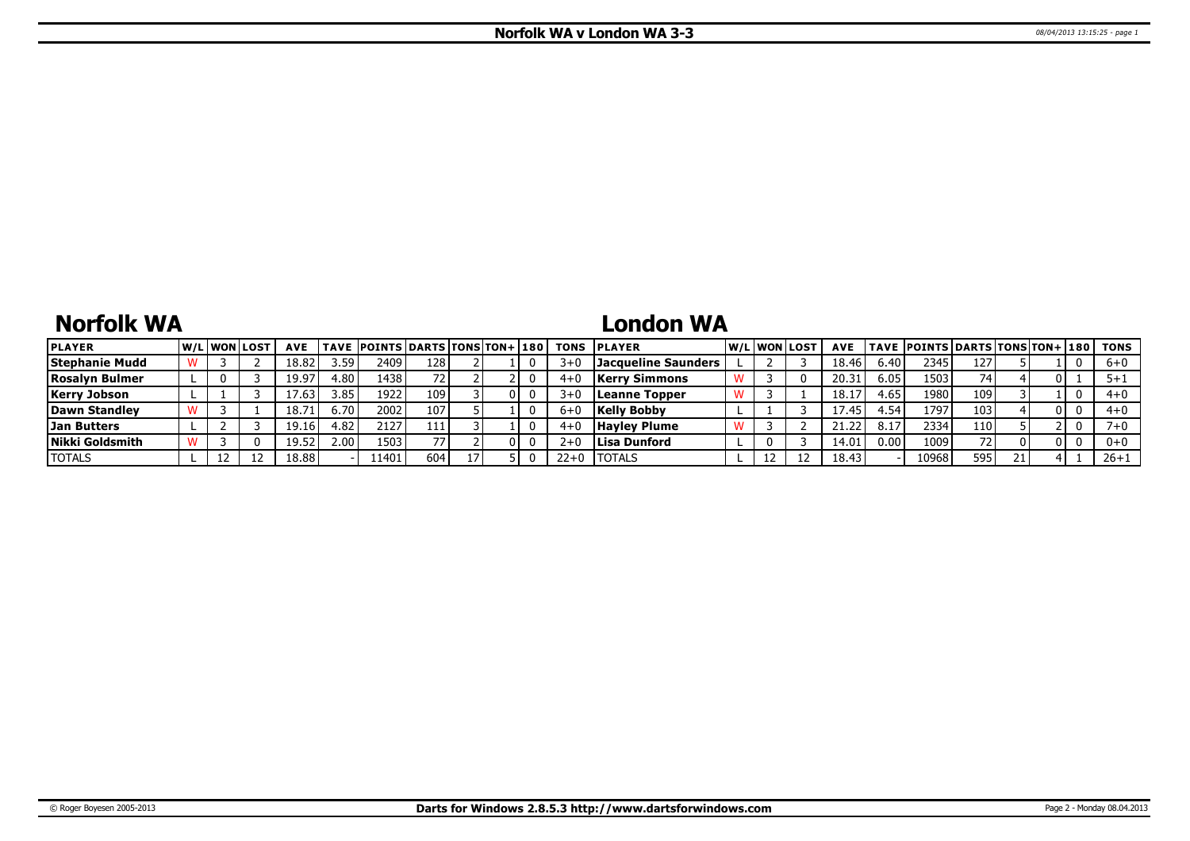# **Norfolk WA**

## **London WA**

| <b>PLAYER</b>         |  | <b>W/Liwonilost</b> | <b>AVE</b> |      | TAVE POINTS DARTS TONS TON+ 180 |     |  | <b>TONS</b> | <b>IPLAYER</b>       |  | W/Liwonilost | <b>AVE</b>        |      | TAVE  POINTS   DARTS   TONS   TON+   180 |     |    |     | TONS     |
|-----------------------|--|---------------------|------------|------|---------------------------------|-----|--|-------------|----------------------|--|--------------|-------------------|------|------------------------------------------|-----|----|-----|----------|
| <b>Stephanie Mudd</b> |  |                     | 18.82      | 3.59 | 2409                            | 128 |  | 3+          | Jacqueline Saunders  |  |              | 18.46             | 6.40 | 2345                                     | 127 |    |     | $6 + 0$  |
| Rosalvn Bulmer        |  |                     | 19.97      | 4.80 | 1438 l                          |     |  | $4 +$       | <b>Kerry Simmons</b> |  |              | 20.3 <sub>1</sub> | 6.05 | 1503                                     | 74  |    |     |          |
| <b>Kerry Jobson</b>   |  |                     | 7.6:       | 3.85 | 1922.                           | 109 |  | 3∓          | Leanne Topper        |  |              | 18.1              | 4.65 | 19801                                    | 109 |    |     | $4 + 0$  |
| Dawn Standlev         |  |                     | 18.71      | 6.70 | 2002                            | 107 |  |             | <b>Kelly Bobby</b>   |  |              | 17.45             | l.54 | 1797                                     | 103 |    | 0 I | $4 + 0$  |
| <b>Jan Butters</b>    |  |                     | 19.16      | 4.82 | 2127                            | 111 |  | 4+          | <b>Hayley Plume</b>  |  |              |                   |      | 2334                                     | 110 |    |     |          |
| Nikki Goldsmith       |  |                     | 19.52      | 2.00 | 1503                            |     |  |             | Llisa Dunford        |  |              | 14.0              | 0.00 | 1009                                     | 72  |    | 01  | $0 + 0$  |
| <b>TOTALS</b>         |  |                     | 18.88      |      | 1401                            | 604 |  | 22+0        | <b>TOTALS</b>        |  |              | 18.43             |      | 10968                                    | 595 | 21 |     | $26 + 1$ |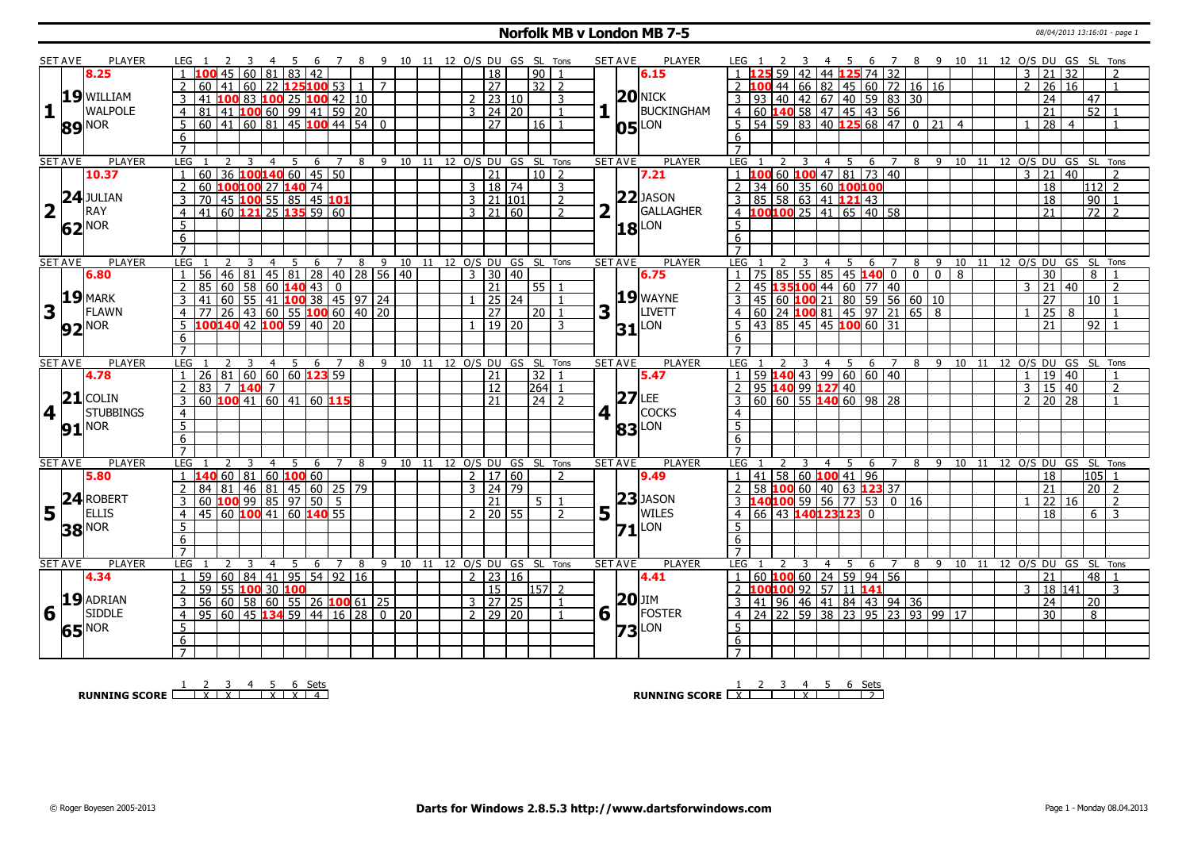### **Norfolk MB v London MB 7-5** 08/04/2013 13:16:01 - page 1

|                         | SET AVE        | PLAYER              |                                                                                                                                                                                                                                                                                                                               |                |                     |                                  |                                                         |               |                            |                         |       |                                                                    |                | <b>SET AVE</b> | PLAYER              |                                                                                                                               |                |                   |                  |       |                                |    |    |                |                                                                     |                            |                |
|-------------------------|----------------|---------------------|-------------------------------------------------------------------------------------------------------------------------------------------------------------------------------------------------------------------------------------------------------------------------------------------------------------------------------|----------------|---------------------|----------------------------------|---------------------------------------------------------|---------------|----------------------------|-------------------------|-------|--------------------------------------------------------------------|----------------|----------------|---------------------|-------------------------------------------------------------------------------------------------------------------------------|----------------|-------------------|------------------|-------|--------------------------------|----|----|----------------|---------------------------------------------------------------------|----------------------------|----------------|
|                         |                | 8.25                | 45<br>  60                                                                                                                                                                                                                                                                                                                    | 81             | 83<br>  42          |                                  |                                                         |               | 10 11 12 O/S DU GS SL Tons | $\overline{18}$         |       | 90                                                                 |                |                | 6.15                | 59 42                                                                                                                         |                | 6<br>44 125 74 32 | $\overline{7}$   | - 8   | 9 10 11 12 O/S DU GS SL Tons   |    |    | 3              | 21<br>32                                                            |                            |                |
|                         |                |                     | $\overline{2}$<br>60<br>41<br>  60                                                                                                                                                                                                                                                                                            | 22             | 125100 53           |                                  | $\overline{7}$<br>$\langle \, \, \hat{1} \, \, \rangle$ |               |                            | $\overline{27}$         |       | $32$   2                                                           |                |                |                     | LOO 44 66 82 45 60 72 16 16<br>2 <sub>1</sub>                                                                                 |                |                   |                  |       |                                |    |    | $\overline{2}$ | $\overline{26}$<br>$\overline{16}$                                  |                            |                |
|                         |                | 19 WILLIAM          | $\overline{141}$                                                                                                                                                                                                                                                                                                              |                |                     |                                  |                                                         |               |                            | $2 \mid 23 \mid 10$     |       |                                                                    |                |                | $20$ NICK           |                                                                                                                               |                |                   |                  |       |                                |    |    |                | $\overline{24}$                                                     |                            |                |
|                         |                | <b>WALPOLE</b>      | 100 83 100 25 100 42 10<br>$\overline{3}$                                                                                                                                                                                                                                                                                     |                |                     |                                  |                                                         |               |                            |                         |       |                                                                    | 3              |                | BUCKINGHAM          |                                                                                                                               |                |                   |                  |       |                                |    |    |                |                                                                     | 47                         |                |
| 1                       |                |                     | 81 41 100 60 99 41 59 20<br>$\overline{4}$                                                                                                                                                                                                                                                                                    |                |                     |                                  |                                                         |               |                            | $3 \mid 24 \mid 20$     |       |                                                                    | $\mathbf{1}$   |                |                     |                                                                                                                               |                |                   |                  |       |                                |    |    |                | $\overline{21}$                                                     | $\overline{52}$            |                |
|                         |                | 89 NOR              | $\frac{1}{60}$ 41 60 81 45 100 44 54 0<br>5                                                                                                                                                                                                                                                                                   |                |                     |                                  |                                                         |               |                            | $\overline{27}$         |       | 16                                                                 | $\overline{1}$ |                | $05$ <sup>LON</sup> | $\overline{5}$ 54 59 83 40 125 68 47 0 21 4                                                                                   |                |                   |                  |       |                                |    |    |                | $\begin{array}{ c c c c c }\n\hline\n28 & 4 \\ \hline\n\end{array}$ |                            |                |
|                         |                |                     | 6                                                                                                                                                                                                                                                                                                                             |                |                     |                                  |                                                         |               |                            |                         |       |                                                                    |                |                |                     |                                                                                                                               |                |                   |                  |       |                                |    |    |                |                                                                     |                            |                |
|                         |                |                     |                                                                                                                                                                                                                                                                                                                               |                |                     |                                  |                                                         |               |                            |                         |       |                                                                    |                |                |                     |                                                                                                                               |                |                   |                  |       |                                |    |    |                |                                                                     |                            |                |
|                         | <b>SET AVE</b> | <b>PLAYER</b>       | LEG<br>3<br>2                                                                                                                                                                                                                                                                                                                 | $\overline{4}$ | $\overline{5}$<br>6 | $\overline{7}$                   | 8 9 10 11 12 0/S DU GS SL Tons                          |               |                            |                         |       |                                                                    |                | <b>SET AVE</b> | <b>PLAYER</b>       | LEG                                                                                                                           | $\overline{3}$ | $4 \quad 5$       | $6 \overline{7}$ |       | 8 9 10 11 12 0/S DU GS SL Tons |    |    |                |                                                                     |                            |                |
|                         |                | 10.37               | $60$ 36 <b>100 140</b> 60 45 50                                                                                                                                                                                                                                                                                               |                |                     |                                  |                                                         |               |                            | $\overline{21}$         |       | 10                                                                 | $\overline{2}$ |                | 7.21                | LOO 60 200 47 81 73 40                                                                                                        |                |                   |                  |       |                                |    |    | $\overline{3}$ | $\overline{21}$<br>$\overline{40}$                                  |                            |                |
|                         |                |                     | 60 100100 27 140 74<br>$\overline{2}$                                                                                                                                                                                                                                                                                         |                |                     |                                  |                                                         |               |                            | 3   18   74             |       |                                                                    | 3              |                |                     | 34 60 35 60 100100                                                                                                            |                |                   |                  |       |                                |    |    |                | 18                                                                  | 112 2                      |                |
|                         |                |                     | $\overline{3}$                                                                                                                                                                                                                                                                                                                |                |                     |                                  |                                                         |               |                            | $3 \mid 21 \mid 101$    |       |                                                                    | $\overline{2}$ |                | $22$ JASON          |                                                                                                                               |                |                   |                  |       |                                |    |    |                | $\overline{18}$                                                     | $\overline{90}$            | $\overline{1}$ |
| $\overline{\mathbf{2}}$ |                | <b>24</b> JULIAN    | $\frac{1}{10}$ $\frac{1}{10}$ $\frac{1}{10}$ $\frac{1}{10}$ $\frac{1}{10}$ $\frac{1}{10}$ $\frac{1}{10}$ $\frac{1}{10}$ $\frac{1}{10}$ $\frac{1}{10}$ $\frac{1}{10}$ $\frac{1}{10}$ $\frac{1}{10}$ $\frac{1}{10}$ $\frac{1}{10}$ $\frac{1}{10}$ $\frac{1}{10}$ $\frac{1}{10}$ $\frac{1}{10}$ $\frac{1}{10}$<br>$\overline{4}$ |                |                     |                                  |                                                         |               |                            | $3 \mid 21 \mid 60$     |       |                                                                    | $\overline{2}$ |                | GALLAGHER           |                                                                                                                               |                |                   |                  |       |                                |    |    |                | $\overline{21}$                                                     | $\overline{72}$            | $\overline{2}$ |
|                         |                | $62^{\text{NOR}}$   | 5                                                                                                                                                                                                                                                                                                                             |                |                     |                                  |                                                         |               |                            |                         |       |                                                                    |                |                | $ 18 ^{LON}$        | 5 <sup>1</sup>                                                                                                                |                |                   |                  |       |                                |    |    |                |                                                                     |                            |                |
|                         |                |                     | 6                                                                                                                                                                                                                                                                                                                             |                |                     |                                  |                                                         |               |                            |                         |       |                                                                    |                |                |                     | 6                                                                                                                             |                |                   |                  |       |                                |    |    |                |                                                                     |                            |                |
|                         |                |                     | $\overline{7}$                                                                                                                                                                                                                                                                                                                |                |                     |                                  |                                                         |               |                            |                         |       |                                                                    |                |                |                     |                                                                                                                               |                |                   |                  |       |                                |    |    |                |                                                                     |                            |                |
|                         | <b>SET AVE</b> | <b>PLAYER</b>       | <b>LEG</b><br>-3                                                                                                                                                                                                                                                                                                              | $\overline{4}$ | - 5<br>6            |                                  | 7 8 9 10 11 12 O/S DU GS SL Tons                        |               |                            |                         |       |                                                                    |                | <b>SET AVE</b> | <b>PLAYER</b>       | LEG                                                                                                                           | $\overline{4}$ | - 6<br>5          | 7 8              |       | 9                              |    |    |                |                                                                     | 10 11 12 0/S DU GS SL Tons |                |
|                         |                | 6.80                | 56 46 81<br>$\overline{1}$                                                                                                                                                                                                                                                                                                    |                |                     | 45   81   28   40   28   56   40 |                                                         |               |                            | $3 \mid 30 \mid 40$     |       |                                                                    |                |                | 6.75                | 75 85 55 85 45 140 0 0 0<br>$\mathbf{1}$                                                                                      |                |                   |                  |       | 8                              |    |    |                | 30                                                                  | 8                          |                |
|                         |                |                     | $\overline{2}$                                                                                                                                                                                                                                                                                                                |                |                     |                                  |                                                         |               |                            | $\overline{21}$         |       | 55 1                                                               |                |                |                     | 45 135100 44 60 77 40<br>45 60 100 21 80 59 56 60 10<br>60 24 100 81 45 97 21 65 8<br>43 85 45 45 100 60 31<br>$\overline{2}$ |                |                   |                  |       |                                |    |    | २              | $\overline{21}$<br>140                                              |                            | $\overline{2}$ |
|                         |                | $19$ MARK           | 185 60 58 60 <b>140</b> 43 0<br>41 60 55 41 <b>100</b> 38 45 97 24<br>3                                                                                                                                                                                                                                                       |                |                     |                                  |                                                         |               |                            |                         | 25 24 |                                                                    | $\overline{1}$ |                | $19$ WAYNE          |                                                                                                                               |                |                   |                  |       |                                |    |    |                | 27                                                                  | 10                         |                |
| $\overline{\mathbf{3}}$ | LΓ             | FLAWN               |                                                                                                                                                                                                                                                                                                                               |                |                     |                                  |                                                         |               |                            | 27                      |       | 20                                                                 |                | 3              | LIVETT              | 4 <sup>1</sup>                                                                                                                |                |                   |                  |       |                                |    |    |                | $\overline{25}$<br>8                                                |                            |                |
|                         |                |                     | 4 77 26 43 60 55 100 60 40 20<br>5 100 140 42 100 59 40 20                                                                                                                                                                                                                                                                    |                |                     |                                  |                                                         |               |                            |                         | 19 20 |                                                                    |                |                |                     |                                                                                                                               |                |                   |                  |       |                                |    |    |                | 21                                                                  | 92                         |                |
|                         |                | <b>92</b> NOR       |                                                                                                                                                                                                                                                                                                                               |                |                     |                                  |                                                         |               |                            |                         |       |                                                                    | 3              |                | $31$ <sup>LON</sup> |                                                                                                                               |                |                   |                  |       |                                |    |    |                |                                                                     |                            |                |
|                         |                |                     | 6                                                                                                                                                                                                                                                                                                                             |                |                     |                                  |                                                         |               |                            |                         |       |                                                                    |                |                |                     | 6                                                                                                                             |                |                   |                  |       |                                |    |    |                |                                                                     |                            |                |
|                         |                |                     | $\overline{7}$                                                                                                                                                                                                                                                                                                                |                |                     |                                  |                                                         |               |                            |                         |       |                                                                    |                | <b>SET AVE</b> | <b>PLAYER</b>       | LEG.                                                                                                                          |                |                   |                  |       |                                |    |    |                | O/S DU GS                                                           | SL Tons                    |                |
|                         |                |                     |                                                                                                                                                                                                                                                                                                                               |                |                     |                                  |                                                         |               |                            |                         |       |                                                                    |                |                |                     |                                                                                                                               |                |                   |                  |       |                                |    |    |                |                                                                     |                            |                |
|                         | <b>SET AVE</b> | <b>PLAYER</b>       | LEG<br>3                                                                                                                                                                                                                                                                                                                      | 4 5            | 6                   | $\overline{7}$                   | 8<br>- 9                                                | 10            | 11                         | 12 O/S DU               |       | GS SL Tons                                                         |                |                |                     |                                                                                                                               |                | 4 <sub>5</sub>    | 6 7              | 8 9   | 10                             | 11 | 12 |                |                                                                     |                            |                |
|                         |                | 4.78                | $26 81 60 60 60$ 123 59<br>$\overline{1}$                                                                                                                                                                                                                                                                                     |                |                     |                                  |                                                         |               |                            | 21                      |       | $\overline{32}$                                                    |                |                | 5.47                | 59 140 43 99 60 60 40                                                                                                         |                |                   |                  |       |                                |    |    | $\overline{1}$ | 19 40                                                               |                            | $\overline{1}$ |
|                         |                |                     | $83 \mid 7$ 140 7<br>$\overline{2}$                                                                                                                                                                                                                                                                                           |                |                     |                                  |                                                         |               |                            | 12                      |       | $\begin{array}{ c c c c }\n\hline\n264 & 1 \\ \hline\n\end{array}$ |                |                |                     | $2$   95 140 99 127 40                                                                                                        |                |                   |                  |       |                                |    |    | $\mathbf{3}$   | 15 40                                                               |                            | $\overline{2}$ |
|                         |                | $21$ COLIN          | 60 100 41 60 41 60 115<br>$\overline{3}$                                                                                                                                                                                                                                                                                      |                |                     |                                  |                                                         |               |                            | $\overline{21}$         |       | $\overline{24}$ $\overline{2}$                                     |                |                | $27$ LEE            | $\frac{1}{3}$ 60 60 55 140 60 98 28                                                                                           |                |                   |                  |       |                                |    |    | $\overline{2}$ | 20 28                                                               |                            |                |
|                         | $\overline{4}$ | <b>STUBBINGS</b>    | $\overline{4}$                                                                                                                                                                                                                                                                                                                |                |                     |                                  |                                                         |               |                            |                         |       |                                                                    |                | 4 1            | COCKS               | $\overline{4}$                                                                                                                |                |                   |                  |       |                                |    |    |                |                                                                     |                            |                |
|                         |                |                     | $\overline{5}$                                                                                                                                                                                                                                                                                                                |                |                     |                                  |                                                         |               |                            |                         |       |                                                                    |                |                |                     | $\overline{5}$                                                                                                                |                |                   |                  |       |                                |    |    |                |                                                                     |                            |                |
|                         |                | $91$ <sup>NOR</sup> | $6\overline{6}$                                                                                                                                                                                                                                                                                                               |                |                     |                                  |                                                         |               |                            |                         |       |                                                                    |                |                | <b>83</b> LON       | 6                                                                                                                             |                |                   |                  |       |                                |    |    |                |                                                                     |                            |                |
|                         |                |                     | $\overline{7}$                                                                                                                                                                                                                                                                                                                |                |                     |                                  |                                                         |               |                            |                         |       |                                                                    |                |                |                     |                                                                                                                               |                |                   |                  |       |                                |    |    |                |                                                                     |                            |                |
|                         | <b>SET AVE</b> | <b>PLAYER</b>       | LEG<br>3                                                                                                                                                                                                                                                                                                                      | $\overline{4}$ | 5<br>6              | $\overline{7}$                   | 8<br>9                                                  |               | 10 11                      | 12 O/S DU GS SL Tons    |       |                                                                    |                | <b>SET AVE</b> | <b>PLAYER</b>       | LEG                                                                                                                           | $\overline{4}$ | $5^{\circ}$<br>6  |                  | 7 8 9 |                                |    |    |                |                                                                     | 10 11 12 0/S DU GS SL Tons |                |
|                         |                | 5.80                | $1 \vert 140 \vert 60 \vert 81 \vert 60 \vert 100 \vert 60$                                                                                                                                                                                                                                                                   |                |                     |                                  |                                                         |               |                            | 2 17 60                 |       |                                                                    | $\mathcal{L}$  |                | 9.49                | 41 58 60 100 41 96<br>$1 \quad$                                                                                               |                |                   |                  |       |                                |    |    |                | 18                                                                  | $ 105 $ 1                  |                |
|                         |                |                     | 84 81 46 81 45 60 25 79                                                                                                                                                                                                                                                                                                       |                |                     |                                  |                                                         |               |                            | 3   24   79             |       |                                                                    |                |                |                     | 58 100 60 40 63 123 37                                                                                                        |                |                   |                  |       |                                |    |    |                | $\overline{21}$                                                     | $20$   2                   |                |
|                         |                | ROBERT              | 60 100 99 85 97 50 5<br>3                                                                                                                                                                                                                                                                                                     |                |                     |                                  |                                                         |               |                            | 21                      |       | $5-1$                                                              |                |                | $23$ JASON          | $3  14010059 56 77 53 0 16$                                                                                                   |                |                   |                  |       |                                |    |    |                | 22 16                                                               |                            | 2              |
|                         |                | <b>ELLIS</b>        | 45 60 100 41 60 140 55<br>$\overline{4}$                                                                                                                                                                                                                                                                                      |                |                     |                                  |                                                         |               |                            | $2$   20   55           |       |                                                                    | $\overline{z}$ |                | WILES               | 66 43 140123123                                                                                                               |                | $\Omega$          |                  |       |                                |    |    |                | 18                                                                  | 6                          | 3              |
|                         | $5^{24}$       |                     | 5                                                                                                                                                                                                                                                                                                                             |                |                     |                                  |                                                         |               |                            |                         |       |                                                                    |                | 5              |                     | 5                                                                                                                             |                |                   |                  |       |                                |    |    |                |                                                                     |                            |                |
|                         | 38             | <b>NOR</b>          | 6                                                                                                                                                                                                                                                                                                                             |                |                     |                                  |                                                         |               |                            |                         |       |                                                                    |                |                | $71$ <sup>LON</sup> | 6                                                                                                                             |                |                   |                  |       |                                |    |    |                |                                                                     |                            |                |
|                         |                |                     | $\overline{7}$                                                                                                                                                                                                                                                                                                                |                |                     |                                  |                                                         |               |                            |                         |       |                                                                    |                |                |                     | $\overline{7}$                                                                                                                |                |                   |                  |       |                                |    |    |                |                                                                     |                            |                |
|                         | <b>SET AVE</b> | PLAYER              | <b>LEG</b><br>$\mathbf{3}$<br>$\overline{2}$                                                                                                                                                                                                                                                                                  | $\overline{4}$ | 5<br>6              | $7^{\circ}$                      | 8                                                       | 9 10          | 11                         | 12 O/S DU GS SL Tons    |       |                                                                    |                | <b>SET AVE</b> | <b>PLAYER</b>       | LEG                                                                                                                           | 3              | 4 5<br>6          | $\overline{7}$   | 8     | 9 10                           |    |    |                |                                                                     | 11 12 O/S DU GS SL Tons    |                |
|                         |                | 4.34                | 59<br>$\overline{1}$                                                                                                                                                                                                                                                                                                          |                |                     |                                  |                                                         |               |                            | $2 \mid 23 \mid 16$     |       |                                                                    |                |                | 4.41                |                                                                                                                               |                |                   |                  |       |                                |    |    |                | 21                                                                  | 48   1                     |                |
|                         |                |                     | 60   84   41   95   54   92   16<br>2                                                                                                                                                                                                                                                                                         |                |                     |                                  |                                                         |               |                            | $\overline{15}$         |       | 157 2                                                              |                |                |                     | 60 100 60 24 59 94 56                                                                                                         |                |                   |                  |       |                                |    |    | 3              | 18 141                                                              |                            | 3              |
|                         |                |                     | 59 55 100 30 100<br>$\overline{3}$                                                                                                                                                                                                                                                                                            |                |                     |                                  |                                                         |               |                            | $3 \mid 27 \mid 25$     |       |                                                                    | $\overline{1}$ |                | <b>20</b> JIM       | 2 100100 92 57 11 141                                                                                                         |                |                   |                  |       |                                |    |    |                |                                                                     |                            |                |
|                         |                | $19$ ADRIAN         | $56 \ 60 \ 58 \ 60 \ 55 \ 26 \ 100 \ 61$<br>$\overline{4}$                                                                                                                                                                                                                                                                    |                |                     |                                  | $ 25\rangle$                                            | $\sqrt{0}$ 20 |                            | $2 \times 29 \times 20$ |       |                                                                    |                |                | FOSTER              | 3 41 96 46 41 84 43 94 36<br>$\overline{4}$                                                                                   |                |                   |                  |       |                                |    |    |                | $\overline{24}$<br>$\overline{30}$                                  | 20<br>8                    |                |
| 6                       |                | <b>SIDDLE</b>       | 95   60   45   134                                                                                                                                                                                                                                                                                                            |                |                     | $59 \ 44 \ 16 \ 28$              |                                                         |               |                            |                         |       |                                                                    |                | 6              |                     | $\frac{1}{24}$ 22 59 38 23 95 23 93 99 17                                                                                     |                |                   |                  |       |                                |    |    |                |                                                                     |                            |                |
|                         | 65             | nor                 | $5^{\circ}$                                                                                                                                                                                                                                                                                                                   |                |                     |                                  |                                                         |               |                            |                         |       |                                                                    |                |                | $73$ <sup>LON</sup> | 5                                                                                                                             |                |                   |                  |       |                                |    |    |                |                                                                     |                            |                |
|                         |                |                     | 6<br>$7^{\circ}$                                                                                                                                                                                                                                                                                                              |                |                     |                                  |                                                         |               |                            |                         |       |                                                                    |                |                |                     | 6<br>$7^{\circ}$                                                                                                              |                |                   |                  |       |                                |    |    |                |                                                                     |                            |                |

**RUNNING SCORE**  $\begin{array}{|c|c|c|c|c|}\n\hline\n & 2 & 3 & 4 & 5 & 6 & \text{Sets} \\
\hline\n\end{array}$ 

**RUNNING SCORE** 2 2 3 4 5 6 Sets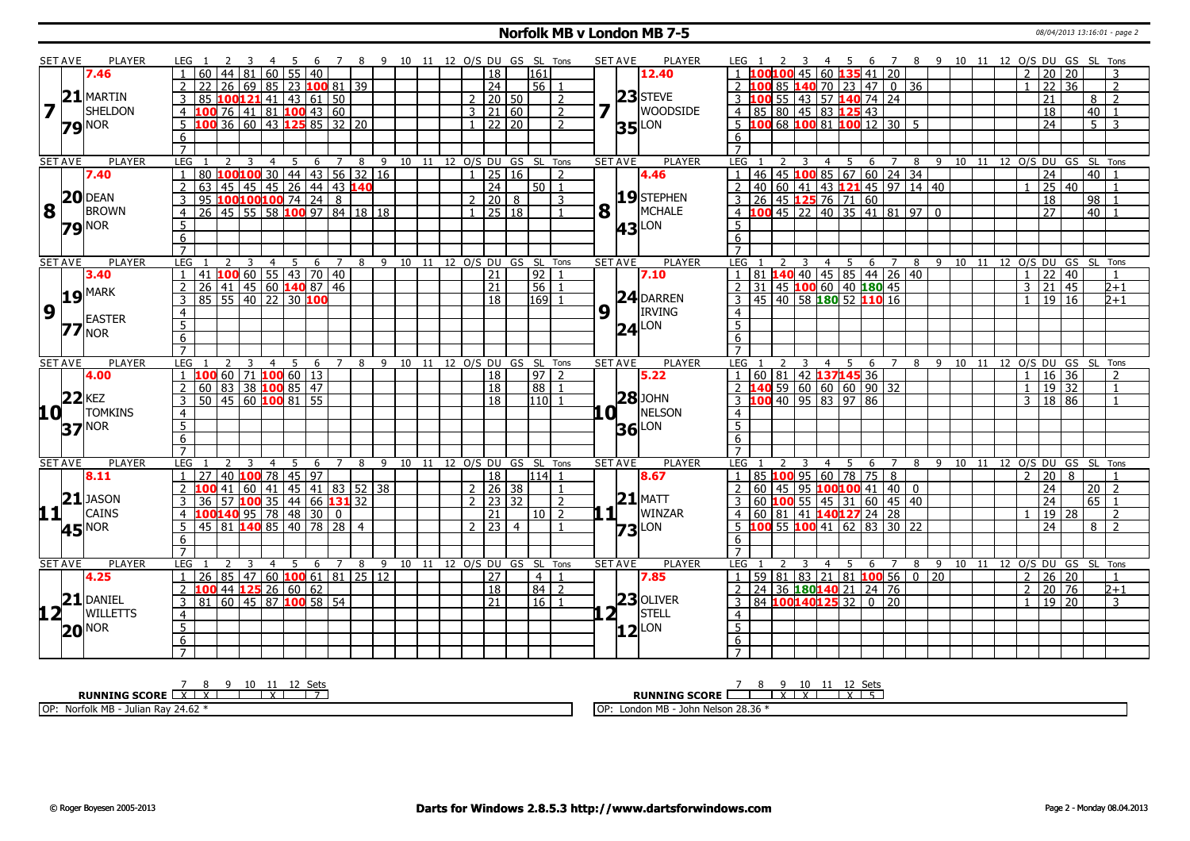### **Norfolk MB v London MB 7-5** 08/04/2013 13:16:01 - page 2

|                                           | SET AVE        | <b>PLAYER</b>        | LEG 1                                                                           |          | 7                                 |           |          | 8 9 10 11 12 O/S DU GS SL Tons |               |                     |                      |                | <b>SET AVE</b>     | PLAYER              | LEG                                                            | - 5<br>- 6     | $\overline{7}$      |                |                       |                                    | 8 9 10 11 12 O/S DU GS SL Tons     |
|-------------------------------------------|----------------|----------------------|---------------------------------------------------------------------------------|----------|-----------------------------------|-----------|----------|--------------------------------|---------------|---------------------|----------------------|----------------|--------------------|---------------------|----------------------------------------------------------------|----------------|---------------------|----------------|-----------------------|------------------------------------|------------------------------------|
|                                           |                | 7.46                 | 60   44   81   60   55   40                                                     |          |                                   |           |          |                                |               | 18                  | 161                  |                |                    | 12.40               | 45                                                             | $60$ 135 41 20 |                     |                | $\overline{2}$        | $\overline{20}$<br>20              | 3                                  |
|                                           |                |                      | $\vert$ 26 $\vert$ 69 $\vert$ 85 $\vert$ 23 <b>100</b> 81 $\vert$ 39<br>2<br>22 |          |                                   |           |          |                                |               | $\overline{24}$     | 56 1                 |                |                    |                     | <b>140</b> 70 23 47 0 36<br>85                                 |                |                     |                |                       | $\overline{22}$<br>$\overline{36}$ | $\overline{2}$                     |
|                                           | 21             | MARTIN               | 85 100121 41 43 61 50<br>3                                                      |          |                                   |           |          |                                |               | 2   20   50         |                      | 2              |                    | $23$ STEVE          | 55 43 57 140 74 24<br>3100                                     |                |                     |                |                       | 21                                 | $\overline{z}$<br>8 <sup>1</sup>   |
| $7\overline{1}$                           |                | SHELDON              | 4 $100$ 76 41 81 100 43 60                                                      |          |                                   |           |          |                                |               | $3 \mid 21 \mid 60$ |                      | $\overline{2}$ | 7                  | <b>WOODSIDE</b>     | 4 85 80 45 83 125 43                                           |                |                     |                |                       | $\overline{18}$                    | 40<br>$\overline{1}$               |
|                                           |                |                      | 100 36 60 43 125 85 32 20<br>5                                                  |          |                                   |           |          |                                |               | $1 \ 22 \ 20$       |                      | $\overline{2}$ |                    | LON                 | $-5$ 100 68 100 81 100 12 30 5                                 |                |                     |                |                       | $\overline{24}$                    | $5-1$<br>3                         |
|                                           |                | $79$ <sup>NOR</sup>  | 6                                                                               |          |                                   |           |          |                                |               |                     |                      |                | 35 <sub>l</sub>    |                     | 6                                                              |                |                     |                |                       |                                    |                                    |
|                                           |                |                      | $\overline{7}$                                                                  |          |                                   |           |          |                                |               |                     |                      |                |                    |                     | $\overline{7}$                                                 |                |                     |                |                       |                                    |                                    |
|                                           | <b>SET AVE</b> | <b>PLAYER</b>        | LEG<br><sup>2</sup><br>-3<br>4                                                  | 5<br>6   | 8<br>$\overline{7}$               |           |          | 9 10 11 12 O/S DU GS SL Tons   |               |                     |                      |                | <b>SET AVE</b>     | <b>PLAYER</b>       | LEG<br>3<br>$\overline{4}$                                     | 5              |                     |                |                       |                                    | 6 7 8 9 10 11 12 O/S DU GS SL Tons |
|                                           |                | 7.40                 | 80 100 100 30 44 43 56 32 16<br>$\mathbf{1}$                                    |          |                                   |           |          |                                | $\mathbf{1}$  | 25 16               |                      | $\overline{2}$ |                    | 4.46                | 46 45 100 85 67 60 24 34<br>$\overline{1}$                     |                |                     |                |                       | $\overline{24}$                    | 40<br>$\overline{1}$               |
|                                           |                |                      | 63 45 45 45 26 44 43 140<br>$\overline{2}$                                      |          |                                   |           |          |                                |               | $\overline{24}$     | 50 1                 |                |                    |                     | 40 60 41 43 <b>121</b> 45 97 14 40<br>$\sqrt{2}$               |                |                     |                |                       | $\overline{25}$<br>40              | $\overline{1}$                     |
|                                           |                | $20$ DEAN            | 95 100100100 74 24 8<br>$\overline{3}$                                          |          |                                   |           |          |                                | 2   20        | 8                   |                      | $\overline{3}$ |                    | 19 STEPHEN          | $3 \mid 26 \mid 45$ 125 76 71 60                               |                |                     |                |                       | $\overline{18}$                    | 98<br>$\overline{1}$               |
| 8                                         |                | <b>BROWN</b>         | 26 45 55 58 100 97 84 18 18<br>$\overline{4}$                                   |          |                                   |           |          |                                |               | $1 \ 25 \ 18$       |                      |                | 8                  | MCHALE              | $4$ <b>100</b> 45 22 40 35 41 81 97 0                          |                |                     |                |                       | $\overline{27}$                    | 40                                 |
|                                           |                |                      | 5                                                                               |          |                                   |           |          |                                |               |                     |                      |                |                    |                     | 5                                                              |                |                     |                |                       |                                    |                                    |
|                                           |                | $79$ <sup>NOR</sup>  | 6                                                                               |          |                                   |           |          |                                |               |                     |                      |                |                    | $43$ <sup>LON</sup> | 6                                                              |                |                     |                |                       |                                    |                                    |
|                                           |                |                      | $\overline{7}$                                                                  |          |                                   |           |          |                                |               |                     |                      |                |                    |                     | $\overline{7}$                                                 |                |                     |                |                       |                                    |                                    |
|                                           | <b>SET AVE</b> | <b>PLAYER</b>        | LEG<br>$\overline{4}$<br>3                                                      | -5<br>6  | 7                                 | 8 9 10 11 |          |                                |               |                     | 12 O/S DU GS SL Tons |                | <b>SET AVE</b>     | <b>PLAYER</b>       | LEG                                                            | 4 5            | 6 7                 |                |                       |                                    | 8 9 10 11 12 0/S DU GS SL Tons     |
|                                           |                | 3.40                 | $41$ 100 60 55 43 70 40                                                         |          |                                   |           |          |                                |               | 21                  | 92                   |                |                    | 7.10                | 81 140 40 45 85 44 26 40<br>$\overline{1}$                     |                |                     |                |                       | $\overline{22}$<br>$\overline{40}$ | $\overline{1}$                     |
|                                           |                |                      | 26 41 45 60 140 87 46<br>$\overline{2}$                                         |          |                                   |           |          |                                |               | $\overline{21}$     | 56                   | $\overline{1}$ |                    |                     | 31 45 100 60 40 180 45<br>$\overline{2}$                       |                |                     |                | $\mathcal{E}$         | $\overline{21}$<br>45              | $2+1$                              |
|                                           |                | $19$ <sup>MARK</sup> | $85$ 55 40 22 30 100<br>$\overline{3}$                                          |          |                                   |           |          |                                |               | $\overline{18}$     | $169$ 1              |                |                    | 24 DARREN           | $\frac{1}{3}$   45   40   58   180   52   110   16             |                |                     |                | $\mathbf{1}$          | 19 16                              | $2+1$                              |
| 9                                         |                |                      | $\overline{4}$                                                                  |          |                                   |           |          |                                |               |                     |                      |                | 9                  | <b>IRVING</b>       | $\overline{4}$                                                 |                |                     |                |                       |                                    |                                    |
|                                           |                | <b>EASTER</b>        | $5^{\circ}$                                                                     |          |                                   |           |          |                                |               |                     |                      |                |                    |                     | $\overline{5}$                                                 |                |                     |                |                       |                                    |                                    |
|                                           |                | $77$ <sub>NOR</sub>  | 6                                                                               |          |                                   |           |          |                                |               |                     |                      |                |                    | $24$ LON            |                                                                |                |                     |                |                       |                                    |                                    |
|                                           |                |                      | $\overline{7}$                                                                  |          |                                   |           |          |                                |               |                     |                      |                |                    |                     | 6<br>$\overline{7}$                                            |                |                     |                |                       |                                    |                                    |
|                                           | <b>SET AVE</b> | <b>PLAYER</b>        | LEG<br>-3<br>$\overline{4}$                                                     | - 5<br>6 | 78                                | - 9       |          | 10 11 12 O/S DU GS SL Tons     |               |                     |                      |                | <b>SET AVE</b>     | <b>PLAYER</b>       | LEG                                                            | 4 5            | 6 7 8 9 10 11 12    |                |                       |                                    | O/S DU GS SL Tons                  |
|                                           |                | 4.00                 | $100$ 60 71 100 60 13<br>$\overline{1}$                                         |          |                                   |           |          |                                |               | 18                  | $97$   2             |                |                    | 5.22                | 60 81 42 137145 36<br>$\vert$ 1                                |                |                     |                | $\mathbf{1}$          | 16 36                              | $\mathcal{L}$                      |
|                                           |                |                      | 60 83 38 100 85 47<br>2                                                         |          |                                   |           |          |                                |               | 18                  | $88$   1             |                |                    |                     | $2$ 140 59 60 60 60 90 32                                      |                |                     |                |                       | $19 \overline{)32}$                | $\overline{1}$                     |
|                                           | 22             | <b>KEZ</b>           | 50 45 60 100 81 55<br>$\mathcal{L}$                                             |          |                                   |           |          |                                |               | 18                  | $1110$ 1             |                |                    | $28$ JOHN           | $3 \cdot 100 \cdot 40 \cdot 95 \cdot 83 \cdot 97 \cdot 86$     |                |                     |                |                       | $3 \mid 18 \mid 86$                | $\overline{1}$                     |
| 10 <sup>1</sup>                           |                | <b>TOMKINS</b>       | $\overline{4}$                                                                  |          |                                   |           |          |                                |               |                     |                      |                | .O I               | NELSON              | $\overline{4}$                                                 |                |                     |                |                       |                                    |                                    |
|                                           |                |                      | 5                                                                               |          |                                   |           |          |                                |               |                     |                      |                |                    | LON                 | $\overline{5}$                                                 |                |                     |                |                       |                                    |                                    |
|                                           |                | <b>37 NOR</b>        | 6                                                                               |          |                                   |           |          |                                |               |                     |                      |                | 36                 |                     | 6                                                              |                |                     |                |                       |                                    |                                    |
|                                           |                |                      | $\overline{7}$                                                                  |          |                                   |           |          |                                |               |                     |                      |                |                    |                     |                                                                |                |                     |                |                       |                                    |                                    |
|                                           | <b>SET AVE</b> | <b>PLAYER</b>        | LEG<br>4                                                                        |          |                                   |           |          |                                |               |                     |                      |                |                    |                     |                                                                |                |                     |                |                       |                                    |                                    |
|                                           |                |                      |                                                                                 |          |                                   |           |          |                                |               |                     |                      |                |                    |                     | $\overline{7}$                                                 |                |                     |                |                       |                                    |                                    |
|                                           |                |                      |                                                                                 | 5<br>6   | $\overline{7}$<br>8               | 9         | 10<br>11 |                                | 12 O/S DU     |                     | GS SL Tons           |                | <b>SET AVE</b>     | <b>PLAYER</b>       | LEG<br>4                                                       | 6              |                     | 89             | 10 11 12 0/S DU GS SL |                                    | Tons                               |
|                                           |                | 8.11                 | $27$   40   100 78   45   97                                                    |          |                                   |           |          |                                |               | $\overline{18}$     | 114  1               |                |                    | 8.67                | 85 100<br>$\overline{1}$                                       | 95 60 78 75    | 8                   |                | $\overline{2}$        | 20<br>8                            | $\overline{1}$                     |
|                                           |                |                      | 60   41  <br>l 41                                                               |          | 45 41 83 52 38                    |           |          |                                |               | 2 2 6 3 8           |                      | -1             |                    |                     | $\overline{z}$<br>$60 \mid 45$<br>$ 95 $ <b>100100</b> 41 40 0 |                |                     |                |                       | 24                                 | $\overline{2}$<br>20 <sup>1</sup>  |
|                                           | $\mathbf{21}$  | <b>JASON</b>         | $\boxed{57}$ 100 35 44 66 131 32<br>3<br>36                                     |          |                                   |           |          |                                |               | $2 \mid 23 \mid 32$ |                      | 2              |                    | $21$ MATT           | 60 100 55 45 31 60 45 40<br>3                                  |                |                     |                |                       | 24                                 | 65<br>$\overline{1}$               |
| $11$ <sup><math>\overline{1}</math></sup> |                | CAINS                | 100140 95 78 48 30<br>$\overline{4}$                                            |          | l o                               |           |          |                                |               | 21                  | $10\sqrt{2}$         |                | $1\!\!1$           | WINZAR              | 4 60 81 41 <b>140127</b> 24 28                                 |                |                     |                |                       | 19 28                              | $\overline{\phantom{a}}$           |
|                                           |                | <b>45</b> NOR        | 45 81 140 85<br>5                                                               | 40 78    | $\overline{28}$<br>$\overline{4}$ |           |          |                                | $\mathcal{P}$ | $\overline{23}$     | $\overline{4}$       | -1             |                    | $73$ <sup>LON</sup> | 55 100<br> 41 62<br>$5\,100$                                   | 83             | 30 22               |                |                       | $\overline{24}$                    | $\overline{8}$<br>$\overline{2}$   |
|                                           |                |                      | 6                                                                               |          |                                   |           |          |                                |               |                     |                      |                |                    |                     | 6                                                              |                |                     |                |                       |                                    |                                    |
|                                           |                |                      | $\overline{7}$                                                                  |          |                                   |           |          |                                |               |                     |                      |                |                    |                     | $\overline{7}$                                                 |                |                     |                |                       |                                    |                                    |
|                                           | <b>SET AVE</b> | PLAYER               | <b>LEG</b><br>-3<br>4                                                           | -5<br>-6 | $\overline{7}$<br>8               | 9         |          | 10 11 12 O/S DU GS SL Tons     |               |                     |                      |                | <b>SET AVE</b>     | PLAYER              | <b>LEG</b><br>4                                                | - 5<br>6       | 8<br>$\overline{7}$ | $\overline{9}$ |                       |                                    | 10 11 12 O/S DU GS SL Tons         |
|                                           |                | 4.25                 | 85   47   60 <b>100</b> 61   81   25   12<br>26<br>$\mathbf{1}$                 |          |                                   |           |          |                                |               | $\overline{27}$     | 4 1                  |                |                    | 7.85                | $59 \mid 81 \mid 83 \mid 21 \mid 81$ 100 56 0 20<br>$\vert$ 1  |                |                     |                | $\overline{2}$        | 26 20                              | $\overline{1}$                     |
|                                           |                |                      | 100 44 125 26 60 62<br>$\overline{2}$                                           |          |                                   |           |          |                                |               | $\overline{18}$     | $84$ 2               |                |                    |                     | 2 24 36 180140 21 24 76                                        |                |                     |                | $\overline{2}$        | 20 76                              | $2+1$                              |
|                                           | 21             | DANIEL               | 81   60   45   87 <b>100</b> 58   54<br>$\overline{3}$                          |          |                                   |           |          |                                |               | $\overline{21}$     | 16 1                 |                |                    | $23$ OLIVER         | 84 100140125 32 0 20<br>3                                      |                |                     |                |                       | $19 20$                            | 3                                  |
| $12^T$                                    |                | <b>WILLETTS</b>      | $\overline{4}$                                                                  |          |                                   |           |          |                                |               |                     |                      |                | $2^{\overline{1}}$ | STELL               | $\overline{4}$                                                 |                |                     |                |                       |                                    |                                    |
|                                           |                | $20^{\text{NOR}}$    | 5                                                                               |          |                                   |           |          |                                |               |                     |                      |                |                    | $ 12 $ LON          | $\overline{5}$                                                 |                |                     |                |                       |                                    |                                    |
|                                           |                |                      | 6                                                                               |          |                                   |           |          |                                |               |                     |                      |                |                    |                     | 6<br>$\overline{7}$                                            |                |                     |                |                       |                                    |                                    |

| 10                                                  |                                           |
|-----------------------------------------------------|-------------------------------------------|
| <b>RUNNING SCORE</b>                                | <b>RUNNING SCORE</b>                      |
| $-$<br>OP:<br>MВ<br>Ray<br>24.6.<br>TOII<br>- INOF' | on 28.36<br>l OP<br>London MB<br>. Nelson |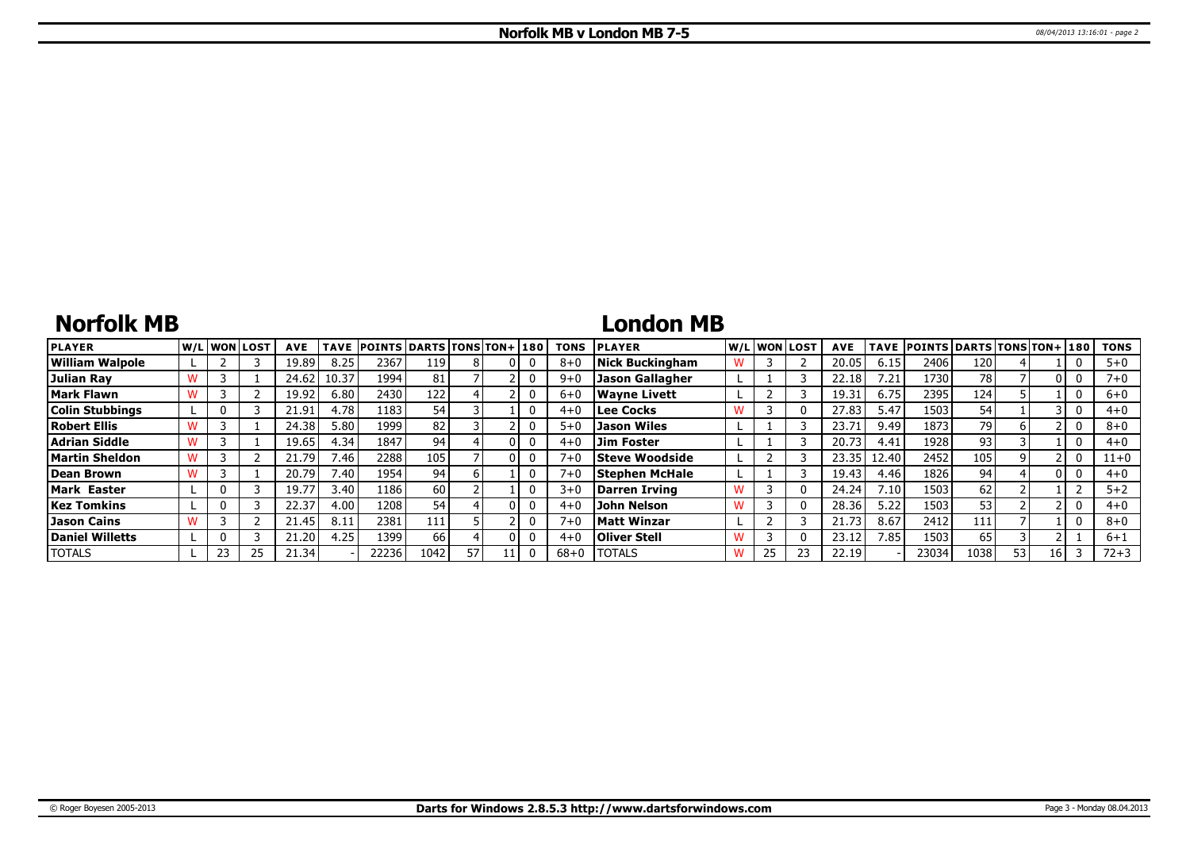# **Norfolk MB**

## **London MB**

| <b>PLAYER</b>          | W/L WON LOST | <b>AVE</b> | TAVE                        | <b>POINTS DARTS TONS TON+1180</b> |      |    |    | <b>TONS</b> | <b>PLAYER</b>          |   | W/L WON LOST | <b>AVE</b>        |       | TAVE POINTS DARTS TONS TON+ 180 |      |     |    | <b>TONS</b> |
|------------------------|--------------|------------|-----------------------------|-----------------------------------|------|----|----|-------------|------------------------|---|--------------|-------------------|-------|---------------------------------|------|-----|----|-------------|
| <b>William Walpole</b> |              | 19.89      | 8.25                        | 2367                              | 119  |    |    | $8 + 6$     | <b>Nick Buckingham</b> |   |              | 20.05             | 6.15  | 2406                            | 120  |     |    | $5 + 0$     |
| Julian Rav             |              | 24.62      | 10.37                       | 1994                              | 81   |    |    | $9 + C$     | <b>Jason Gallagher</b> |   |              | 22.18             | 7.21  | 1730                            | 78   |     |    | $7 + 0$     |
| Mark Flawn             |              | 19.92      | 6.80                        | 2430                              | 122  |    |    | $6 + 0$     | <b>Wavne Livett</b>    |   |              | 19.31             | 6.75  | 2395                            | 124  |     |    | $6+0$       |
| <b>Colin Stubbings</b> |              | 21.91      | 4.78                        | 1183                              | 54   |    |    | $4 + 0$     | <b>Lee Cocks</b>       |   |              | 27.83             | 5.47  | 1503                            | 54   |     |    | $4 + 0$     |
| <b>Robert Ellis</b>    |              | 24.38      | 5.80                        | 1999                              | 82   |    |    | $5 + C$     | <b>Jason Wiles</b>     |   |              | 23.7 <sup>2</sup> | 9.49  | 1873                            | 79   |     |    | $8 + 0$     |
| Adrian Siddle          |              | 19.65      | 4.34                        | 1847                              | 94   |    | 01 | $4 + 0$     | <b>Jim Foster</b>      |   |              | 20.73             | 4.41  | 1928                            | 93   |     |    | $4 + 0$     |
| Martin Sheldon         |              | 21.79      | $^{\prime}$ .46             | 2288                              | 105  |    |    | $7 + 0$     | <b>Steve Woodside</b>  |   |              | 23.35             | 12.40 | 2452                            | 105  |     |    | $11+0$      |
| Dean Brown             |              | 20.79      | $^{\prime}$ .40 $^{\prime}$ | 1954                              | 94   |    |    | $7 + 0$     | <b>Stephen McHale</b>  |   |              | 19.43             | 4.46  | 1826                            | 94   |     |    | $4 + 0$     |
| <b>Mark Easter</b>     |              | 19.77      | 3.40                        | 1186                              | 60 l |    |    | $3+0$       | <b>Darren Irving</b>   | w |              | 24.24             | 7.10  | 1503                            | 62   |     |    | $5 + 2$     |
| <b>Kez Tomkins</b>     |              | 22.37      | 4.00                        | 12081                             | 54   |    |    | $4 + 0$     | John Nelson            |   |              | 28.36             | 5.22  | 1503                            | 53   |     |    | $4 + 0$     |
| Jason Cains            |              | 21.45      | 8.11                        | 2381                              | 111  |    |    | $7 + 0$     | <b>Matt Winzar</b>     |   |              | 21.73             | 8.67  | 2412                            | 111  |     |    | $8 + 0$     |
| <b>Daniel Willetts</b> |              | 21.20      | 4.25                        | ا 1399                            | 66   |    |    | $4 + ($     | <b>Oliver Stell</b>    |   |              | 23.12             | 7.85  | 1503                            | 65   |     |    | $6 + 1$     |
| <b>TOTALS</b>          | 23           | 21.34      |                             | 22236                             | 1042 | 57 |    | $68 + 0$    | <b>TOTALS</b>          | w |              | 22.19             |       | 23034                           | 1038 | 53. | 16 | $72 + 3$    |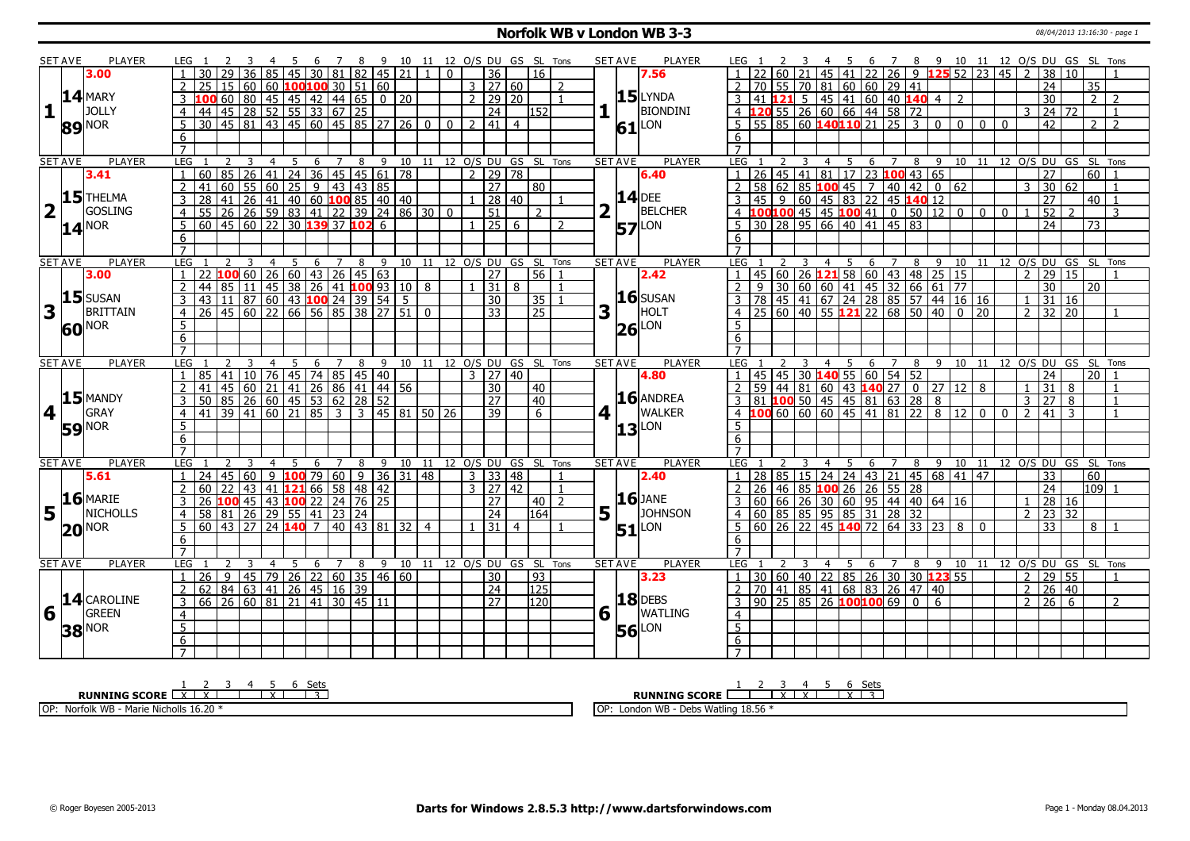#### **Norfolk WB v London WB 3-3** 08/04/2013 13:16:30 - page 1

|                         | <b>SET AVE</b> | PLAYER                   | IFG 1                             |                                                     |                                          |    |                |                |   |                | 78                     | - 9                                   | 10 11 12 O/S DU GS SL Tons         |                            |                  |                |                      |                |                  |                |                | <b>SET AVE</b> | <b>PLAYER</b>       | LEG 1            |                 |                         |             |                | - 5                    |     |                |                      |                                                   |     |                                                                   |          |              |                |                 |     | 6 7 8 9 10 11 12 O/S DU GS SL Tons |                         |
|-------------------------|----------------|--------------------------|-----------------------------------|-----------------------------------------------------|------------------------------------------|----|----------------|----------------|---|----------------|------------------------|---------------------------------------|------------------------------------|----------------------------|------------------|----------------|----------------------|----------------|------------------|----------------|----------------|----------------|---------------------|------------------|-----------------|-------------------------|-------------|----------------|------------------------|-----|----------------|----------------------|---------------------------------------------------|-----|-------------------------------------------------------------------|----------|--------------|----------------|-----------------|-----|------------------------------------|-------------------------|
|                         |                | 3.00                     |                                   | 30                                                  |                                          |    |                |                |   |                |                        |                                       | 45 30 81 82 45 21                  | $\mathbf{1}$               | $\Omega$         |                | $\overline{36}$      |                | l 16             |                |                |                | 7.56                |                  |                 |                         |             | 45             |                        |     |                |                      |                                                   |     | 41 22 26 9 125 52 23 45                                           |          |              | $\mathcal{L}$  | $\overline{38}$ | 10  |                                    |                         |
|                         |                |                          | $\overline{2}$                    | 25                                                  | 15<br>  60                               |    |                |                |   |                |                        | 60 $100100$ 30   51   60              |                                    |                            |                  |                | $3 \mid 27 \mid 60$  |                |                  | $\overline{z}$ |                |                |                     |                  | 70              |                         | 55 70       | l 81           |                        | 60  |                | $60$ 29 41           |                                                   |     |                                                                   |          |              |                | $\overline{24}$ |     | 35                                 |                         |
|                         |                | $14$ MARY                |                                   |                                                     | 60<br>$\overline{80}$                    |    |                |                |   |                |                        |                                       | $\boxed{0}$ 20                     |                            |                  | $\overline{2}$ | 29 20                |                |                  |                |                |                | $15$ LYNDA          | 3                | 41              |                         | $5^{\circ}$ |                | 45 41                  |     |                |                      |                                                   |     |                                                                   |          |              |                | 30              |     | $\overline{2}$                     | $\overline{2}$          |
| $\mathbf{1}$            |                | <b>JOLLY</b>             | 3                                 |                                                     |                                          |    |                |                |   |                | 45 45 42 44 65         |                                       |                                    |                            |                  |                |                      |                |                  |                |                |                |                     |                  |                 |                         |             |                |                        |     |                |                      |                                                   |     |                                                                   |          |              |                |                 |     |                                    |                         |
|                         |                |                          | $\overline{4}$                    | 44 45 28                                            |                                          |    |                |                |   |                | 52   55   33   67   25 |                                       |                                    |                            |                  |                | $\overline{24}$      |                | 152              |                |                |                | <b>BIONDINI</b>     | $4 \vert 1$      |                 |                         |             |                |                        |     |                | 55 26 60 66 44 58 72 |                                                   |     |                                                                   |          |              | $\overline{3}$ | 24 72           |     |                                    | $\overline{1}$          |
|                         |                | 89 NOR                   | 5                                 | 30   45   81                                        |                                          |    |                |                |   |                |                        |                                       | 43 45 60 45 85 27 26 0             |                            | $\overline{0}$ 1 | $\overline{2}$ | $141 \mid 4$         |                |                  |                |                |                | $61$ <sup>LON</sup> |                  |                 |                         |             |                |                        |     |                |                      |                                                   |     | $\frac{1}{100}$ 160 140110 21 25 3 0 0                            | l 0      | $\Omega$     |                | 42              |     | 2                                  | $\overline{2}$          |
|                         |                |                          | 6                                 |                                                     |                                          |    |                |                |   |                |                        |                                       |                                    |                            |                  |                |                      |                |                  |                |                |                |                     | 6                |                 |                         |             |                |                        |     |                |                      |                                                   |     |                                                                   |          |              |                |                 |     |                                    |                         |
|                         |                |                          | $\overline{7}$                    |                                                     |                                          |    |                |                |   |                |                        |                                       |                                    |                            |                  |                |                      |                |                  |                |                |                |                     |                  |                 |                         |             |                |                        |     |                |                      |                                                   |     |                                                                   |          |              |                |                 |     |                                    |                         |
|                         | <b>SET AVE</b> | <b>PLAYER</b>            | LEG <sub>1</sub>                  |                                                     | 3                                        |    | $\overline{4}$ | 5 <sup>5</sup> |   |                |                        |                                       | 6 7 8 9 10 11 12 O/S DU GS SL Tons |                            |                  |                |                      |                |                  |                |                | <b>SET AVE</b> | <b>PLAYER</b>       | LEG <sub>1</sub> |                 |                         |             |                | $\overline{4}$<br>$-5$ |     | - 6            | $\overline{7}$       |                                                   |     | 8 9 10 11 12 0/S DU GS SL Tons                                    |          |              |                |                 |     |                                    |                         |
|                         |                | 3.41                     |                                   | 60 85 26 41 24 36 45 45 61 78                       |                                          |    |                |                |   |                |                        |                                       |                                    |                            |                  | $\overline{2}$ | $\sqrt{29}$ 78       |                |                  |                |                |                | 6.40                |                  | $\overline{26}$ |                         |             |                |                        |     |                |                      | 45 41 81 17 23 100 43 65                          |     |                                                                   |          |              |                | $\overline{27}$ |     | 60                                 |                         |
|                         |                |                          | $\overline{2}$                    | 41                                                  | 60                                       | 55 | $\boxed{60}$   |                |   |                |                        | $25 \mid 9 \mid 43 \mid 43 \mid 85$   |                                    |                            |                  |                | $\overline{27}$      |                | $\overline{80}$  |                |                |                |                     |                  | 58 <sub>1</sub> |                         |             | $62$ 85 100 45 |                        |     | $\overline{7}$ |                      | 40   42   0   62                                  |     |                                                                   |          |              | 3              | 30 62           |     |                                    |                         |
|                         |                | $15$ <sup>THELMA</sup>   | 3                                 | 28                                                  | 41                                       |    |                |                |   |                |                        |                                       | $26 41 40 60$ 100 85 40 40         |                            |                  |                | 28 40                |                |                  |                |                |                | <b>14</b> DEE       |                  | 45              | 9                       |             |                |                        |     |                |                      | $60$ 45 83 22 45 140 12                           |     |                                                                   |          |              |                | 27              |     | 40                                 |                         |
| $\overline{\mathbf{2}}$ |                | GOSLING                  | $\overline{4}$                    | 55                                                  | 26 26 59 83 41 22 39 24 86 30            |    |                |                |   |                |                        |                                       |                                    |                            | $\mathbf 0$      |                | 51                   |                | $\mathcal{P}$    |                |                |                | BELCHER             |                  |                 |                         |             |                |                        |     |                |                      |                                                   |     | $100100$ 45 45 100 41 0 50 12 0 0                                 |          | $\mathbf{0}$ |                | 52              |     |                                    | 3                       |
|                         |                | $14^{NOR}$               | 5 <sup>5</sup>                    | $60$   45   60   22   30 <b>139</b> 37 <b>102</b> 6 |                                          |    |                |                |   |                |                        |                                       |                                    |                            |                  |                | $1 \mid 25 \mid 6$   |                |                  | $\mathcal{L}$  |                |                | <b>57</b> LON       | .5               |                 | 30 28 95 66 40 41 45 83 |             |                |                        |     |                |                      |                                                   |     |                                                                   |          |              |                | 24              |     | 73                                 |                         |
|                         |                |                          | 6                                 |                                                     |                                          |    |                |                |   |                |                        |                                       |                                    |                            |                  |                |                      |                |                  |                |                |                |                     | 6                |                 |                         |             |                |                        |     |                |                      |                                                   |     |                                                                   |          |              |                |                 |     |                                    |                         |
|                         |                |                          | $\overline{7}$                    |                                                     |                                          |    |                |                |   |                |                        |                                       |                                    |                            |                  |                |                      |                |                  |                |                |                |                     | $\overline{7}$   |                 |                         |             |                |                        |     |                |                      |                                                   |     |                                                                   |          |              |                |                 |     |                                    |                         |
|                         | <b>SET AVE</b> | <b>PLAYER</b>            | LEG                               |                                                     |                                          |    | $\overline{4}$ | 5              |   |                |                        |                                       | 6 7 8 9 10 11 12 0/S DU GS SL Tons |                            |                  |                |                      |                |                  |                |                | <b>SET AVE</b> | <b>PLAYER</b>       | LEG 1            |                 |                         | 3           |                |                        |     |                |                      |                                                   |     | 4 5 6 7 8 9 10 11 12 O/S DU GS SL Tons                            |          |              |                |                 |     |                                    |                         |
|                         |                | 3.00                     |                                   | 22 <b>100</b> 60 26 60 43 26 45 63                  |                                          |    |                |                |   |                |                        |                                       |                                    |                            |                  |                | 27                   |                | $56$ 1           |                |                |                | 2.42                |                  |                 |                         |             |                |                        |     |                |                      |                                                   |     | 45 60 26 <b>121</b> 58 60 43 48 25 15                             |          |              | $\overline{2}$ | 29 15           |     |                                    |                         |
|                         |                |                          | $\overline{2}$                    | 44                                                  | $85 \mid 11 \mid$                        |    |                |                |   |                |                        |                                       | 45 38 26 41 100 93 10 8            |                            |                  |                | $\overline{31 8}$    |                |                  | $\overline{1}$ |                |                |                     | $\overline{2}$   |                 |                         |             |                |                        |     |                |                      |                                                   |     |                                                                   |          |              |                | $\overline{30}$ |     | 20                                 |                         |
|                         |                | $15$ SUSAN               | 3                                 | 43                                                  | $11 \overline{)87}$ 60 43 100 24 39 54 5 |    |                |                |   |                |                        |                                       |                                    |                            |                  |                | 30                   |                | 35 1             |                |                |                | $16$ SUSAN          |                  |                 |                         |             |                |                        |     |                |                      |                                                   |     | 9 30 60 60 41 45 32 66 61 77<br>78 45 41 67 24 28 85 57 44 16 16  |          |              | $\mathbf{1}$   | $31 \mid 16$    |     |                                    |                         |
| 3                       |                | <b>BRITTAIN</b>          | $\overline{4}$                    | 26                                                  | 45 60 22 66 56 85 38 27 51               |    |                |                |   |                |                        |                                       |                                    | $\Omega$                   |                  |                | 33                   |                | $\overline{25}$  |                | 3              |                | <b>HOLT</b>         |                  |                 |                         |             |                |                        |     |                |                      |                                                   |     | $\frac{1}{25}$ 60 40 55 121 22 68 50 40 0 20                      |          |              | $\mathcal{P}$  | $32 \mid 20$    |     |                                    |                         |
|                         |                |                          | 5                                 |                                                     |                                          |    |                |                |   |                |                        |                                       |                                    |                            |                  |                |                      |                |                  |                |                |                | LON                 | 5.               |                 |                         |             |                |                        |     |                |                      |                                                   |     |                                                                   |          |              |                |                 |     |                                    |                         |
|                         |                | <b>60</b> <sup>NOR</sup> | 6                                 |                                                     |                                          |    |                |                |   |                |                        |                                       |                                    |                            |                  |                |                      |                |                  |                |                | 26             |                     | 6                |                 |                         |             |                |                        |     |                |                      |                                                   |     |                                                                   |          |              |                |                 |     |                                    |                         |
|                         |                |                          | $\overline{7}$                    |                                                     |                                          |    |                |                |   |                |                        |                                       |                                    |                            |                  |                |                      |                |                  |                |                |                |                     |                  |                 |                         |             |                |                        |     |                |                      |                                                   |     |                                                                   |          |              |                |                 |     |                                    |                         |
|                         |                |                          |                                   |                                                     |                                          |    |                |                |   |                |                        |                                       |                                    |                            |                  |                |                      |                |                  |                |                | <b>SET AVE</b> |                     | LEG              |                 |                         |             |                | $\overline{4}$         |     |                |                      |                                                   |     |                                                                   |          |              |                |                 |     |                                    | Tons                    |
|                         |                |                          |                                   |                                                     |                                          |    |                |                |   |                |                        |                                       |                                    |                            |                  |                |                      |                |                  |                |                |                |                     |                  |                 |                         |             |                |                        |     |                |                      |                                                   |     |                                                                   |          |              |                |                 |     |                                    |                         |
|                         | <b>SET AVE</b> | <b>PLAYER</b>            | LEG                               |                                                     |                                          |    |                | 5              | 6 | $\overline{7}$ | 8                      |                                       | 9 10 11 12 O/S DU GS SL Tons       |                            |                  | $\mathbf{3}$   |                      |                |                  |                |                |                | <b>PLAYER</b>       |                  |                 |                         |             |                |                        | - 5 | 6              |                      |                                                   | 8 9 | 10 11 12 O/S DU GS SL                                             |          |              |                |                 |     |                                    |                         |
|                         |                |                          |                                   | 85                                                  | 41                                       | 10 | 76             |                |   |                |                        | 45 74 85 45 40                        |                                    |                            |                  |                | $\overline{27}$      | $ 40\rangle$   |                  |                |                |                | 4.80                |                  |                 | $45 \mid 45$            |             |                |                        |     |                | 30 140 55 60 54 52   |                                                   |     |                                                                   |          |              |                | 24              |     | 20                                 |                         |
|                         |                |                          | 2                                 | 41                                                  | l 45 l                                   |    |                |                |   |                |                        | 60   21   41   26   86   41   44   56 |                                    |                            |                  |                | 30                   |                | $ 40\rangle$     |                |                |                |                     |                  |                 | $59$   44   81          |             |                |                        |     |                |                      |                                                   |     |                                                                   |          |              | $\mathbf{1}$   | 31              | 8   |                                    |                         |
|                         |                | $15$ MANDY               | 3                                 | 50                                                  | 85 26 60 45 53 62 28 52                  |    |                |                |   |                |                        |                                       |                                    |                            |                  |                | 27                   |                | $\sqrt{40}$      |                |                |                | $16$ ANDREA         |                  |                 |                         |             |                |                        |     |                |                      |                                                   |     |                                                                   |          |              | $\overline{3}$ | 27              | l 8 |                                    |                         |
| $\vert$ 4               | $\mathbf{L}$   | GRAY                     | $\overline{4}$                    | $141$ 39 41 60 21 85 3 3 45 81 50 26                |                                          |    |                |                |   |                |                        |                                       |                                    |                            |                  |                | 39                   |                | 6 <sup>7</sup>   |                | $\vert$        |                | <b>WALKER</b>       |                  |                 |                         |             |                |                        |     |                |                      |                                                   |     | 3 81 100 50 45 45 81 63 28 8<br>4 100 60 60 60 45 41 81 22 8 12 0 |          | $\Omega$     | $\overline{2}$ | 41              | 3   |                                    |                         |
|                         |                | <b>59 NOR</b>            | 5                                 |                                                     |                                          |    |                |                |   |                |                        |                                       |                                    |                            |                  |                |                      |                |                  |                |                | 13             | LON                 | .5               |                 |                         |             |                |                        |     |                |                      |                                                   |     |                                                                   |          |              |                |                 |     |                                    |                         |
|                         |                |                          | $6\overline{6}$                   |                                                     |                                          |    |                |                |   |                |                        |                                       |                                    |                            |                  |                |                      |                |                  |                |                |                |                     | 6                |                 |                         |             |                |                        |     |                |                      |                                                   |     |                                                                   |          |              |                |                 |     |                                    |                         |
|                         |                |                          | $\overline{7}$                    |                                                     |                                          |    |                |                |   |                |                        |                                       |                                    |                            |                  |                |                      |                |                  |                |                |                |                     | $\overline{7}$   |                 |                         |             |                |                        |     |                |                      |                                                   |     |                                                                   |          |              |                |                 |     |                                    |                         |
|                         | <b>SET AVE</b> | <b>PLAYER</b>            | <b>LEG</b>                        |                                                     |                                          |    |                | 5              | 6 | $\overline{7}$ | 8                      | 9                                     |                                    | 10 11 12 O/S DU GS SL Tons |                  |                |                      |                |                  |                |                | <b>SET AVE</b> | <b>PLAYER</b>       | <b>LEG</b>       |                 |                         |             |                | 4                      |     | 6              | $\overline{7}$       | 8                                                 |     | 9 10 11 12 O/S DU GS SL Tons                                      |          |              |                |                 |     |                                    |                         |
|                         |                | 5.61                     |                                   | 24                                                  | 45<br>60                                 |    |                |                |   |                |                        |                                       | 9 <b>100</b> 79 60 9 36 31 48      |                            |                  |                | 3 3 48               |                |                  | $\mathbf{1}$   |                |                | 2.40                |                  |                 |                         |             |                |                        |     |                |                      |                                                   |     | 28 85 15 24 24 43 21 45 68 41 47                                  |          |              |                | 33              |     | 60                                 |                         |
|                         |                |                          | $\overline{2}$                    | 60                                                  | 22<br>43                                 |    |                |                |   |                |                        | $12166$ 58 48 42                      |                                    |                            |                  |                | $3 \mid 27 \mid 42$  |                |                  | $\overline{1}$ |                |                |                     |                  | 26              |                         |             | 46 85 100 26   |                        |     |                | $26$ 55 28           |                                                   |     |                                                                   |          |              |                | 24              |     | 109 1                              |                         |
|                         |                | $16$ MARIE               | 3                                 | 26                                                  | 100 45 43 100 22 24 76 25                |    |                |                |   |                |                        |                                       |                                    |                            |                  |                | $\overline{27}$      |                | $40$   2         |                |                |                | $16$ JANE           |                  |                 |                         |             |                |                        |     |                |                      | $60   66   26   30   60   95   44   40   64   16$ |     |                                                                   |          |              | $\mathbf{1}$   | 28 16           |     |                                    |                         |
| 5                       | l L            | <b>NICHOLLS</b>          |                                   | 58                                                  | $\overline{26}$<br>81                    |    | 29             |                |   | 55 41 23 24    |                        |                                       |                                    |                            |                  |                | $\overline{24}$      |                | 164              |                | 5 <sub>1</sub> |                | <b>JOHNSON</b>      |                  | 60              |                         |             | 85 85 95       |                        | 85  | 31             | 28                   |                                                   |     |                                                                   |          |              | $2^{\circ}$    | 23 32           |     |                                    |                         |
|                         |                | $20^{\text{NOR}}$        | 5                                 | $60$   43   27                                      |                                          |    |                | $24$ 140 7     |   |                |                        |                                       | 40   43   81   32                  | $\overline{4}$             |                  |                | 31                   | $\overline{4}$ |                  |                |                |                | $51$ <sup>LON</sup> | 5                | 60 <sub>1</sub> |                         |             |                |                        |     |                |                      | 26 22 45 140 72 64 33 23 8                        |     |                                                                   | $\Omega$ |              |                | $\overline{33}$ |     | 8 <sup>1</sup>                     |                         |
|                         |                |                          | 6                                 |                                                     |                                          |    |                |                |   |                |                        |                                       |                                    |                            |                  |                |                      |                |                  |                |                |                |                     | 6                |                 |                         |             |                |                        |     |                |                      |                                                   |     |                                                                   |          |              |                |                 |     |                                    |                         |
|                         |                |                          | $\overline{7}$                    |                                                     |                                          |    |                |                |   |                |                        |                                       |                                    |                            |                  |                |                      |                |                  |                |                |                |                     |                  |                 |                         |             |                |                        |     |                |                      |                                                   |     |                                                                   |          |              |                |                 |     |                                    |                         |
|                         | <b>SET AVE</b> | <b>PLAYER</b>            | LEG                               |                                                     |                                          |    |                | 5              | 6 | $\overline{7}$ | 8                      |                                       | 9 10                               | 11                         |                  |                | 12 O/S DU GS SL Tons |                |                  |                |                | <b>SET AVE</b> | <b>PLAYER</b>       | LEG <sub>1</sub> |                 |                         |             |                | $\overline{4}$         | -5  | 6              | $\overline{7}$       | 8                                                 |     | 9 10                                                              |          |              |                |                 |     |                                    | 11 12 0/S DU GS SL Tons |
|                         |                |                          |                                   | 26                                                  | 9 <sup>1</sup>                           |    |                |                |   |                |                        | 45   79   26   22   60   35   46   60 |                                    |                            |                  |                | 30                   |                | $\overline{93}$  |                |                |                | 3.23                |                  |                 |                         |             |                |                        |     |                |                      | 30 60 40 22 85 26 30 30 123 55                    |     |                                                                   |          |              | $\overline{2}$ | 29 55           |     |                                    |                         |
|                         |                |                          | $\overline{2}$                    | 62                                                  | 84 63 41 26 45 16 39                     |    |                |                |   |                |                        |                                       |                                    |                            |                  |                | $\sqrt{24}$          |                | $\overline{125}$ |                |                |                |                     |                  |                 |                         |             |                |                        |     |                |                      | 70 41 85 41 68 83 26 47 40                        |     |                                                                   |          |              | $2^{\circ}$    | $26 \mid 40$    |     |                                    |                         |
|                         |                | 14 CAROLINE              | $\mathbf{3}$                      | 66 26 60 81 21 41 30 45 11                          |                                          |    |                |                |   |                |                        |                                       |                                    |                            |                  |                | $\overline{27}$      |                | 1201             |                |                |                | $18$ DEBS           | 3                |                 |                         |             |                |                        |     |                |                      | 90   25   85   26 <mark>100 100</mark> 69   0   6 |     |                                                                   |          |              | 2 <sup>1</sup> | $26 \mid 6$     |     |                                    | $\overline{2}$          |
| 6                       |                | GREEN                    | $\overline{4}$                    |                                                     |                                          |    |                |                |   |                |                        |                                       |                                    |                            |                  |                |                      |                |                  |                | 6              |                | <b>WATLING</b>      | $\overline{4}$   |                 |                         |             |                |                        |     |                |                      |                                                   |     |                                                                   |          |              |                |                 |     |                                    |                         |
|                         |                | <b>38 NOR</b>            | $\overline{5}$                    |                                                     |                                          |    |                |                |   |                |                        |                                       |                                    |                            |                  |                |                      |                |                  |                |                | 56             | LON                 | $\overline{5}$   |                 |                         |             |                |                        |     |                |                      |                                                   |     |                                                                   |          |              |                |                 |     |                                    |                         |
|                         |                |                          | $6\overline{6}$<br>$\overline{7}$ |                                                     |                                          |    |                |                |   |                |                        |                                       |                                    |                            |                  |                |                      |                |                  |                |                |                |                     | 6                |                 |                         |             |                |                        |     |                |                      |                                                   |     |                                                                   |          |              |                |                 |     |                                    |                         |

**RUNNING SCORE**  $\begin{array}{|c|c|c|c|c|}\n\hline\n & 2 & 3 & 4 & 5 & 6 & \text{Sets} \\
\hline\n\textbf{R} & \textbf{NNNING SCORE} & \textbf{XX} & \textbf{XX} & \textbf{XX} & \textbf{XX} \\
\hline\n\end{array}$  OP: Norfolk WB - Marie Nicholls 16.20 \* **RUNNING SCORE**  $\begin{array}{|c|c|c|c|c|}\n\hline\n & 2 & 3 & 4 & 5 & 6 & \text{Sets} \\
\hline\n\end{array}$ OP: London WB - Debs Watling 18.56 \*